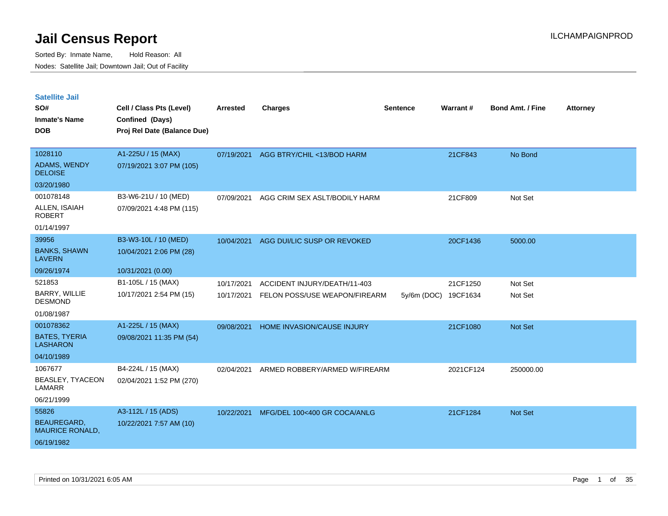| <b>Satellite Jail</b><br>SO#<br><b>Inmate's Name</b><br><b>DOB</b> | Cell / Class Pts (Level)<br>Confined (Days)<br>Proj Rel Date (Balance Due) | Arrested   | <b>Charges</b>                | <b>Sentence</b>      | Warrant#  | <b>Bond Amt. / Fine</b> | <b>Attorney</b> |
|--------------------------------------------------------------------|----------------------------------------------------------------------------|------------|-------------------------------|----------------------|-----------|-------------------------|-----------------|
| 1028110<br>ADAMS, WENDY<br><b>DELOISE</b>                          | A1-225U / 15 (MAX)<br>07/19/2021 3:07 PM (105)                             | 07/19/2021 | AGG BTRY/CHIL <13/BOD HARM    |                      | 21CF843   | No Bond                 |                 |
| 03/20/1980                                                         |                                                                            |            |                               |                      |           |                         |                 |
| 001078148<br>ALLEN, ISAIAH<br><b>ROBERT</b>                        | B3-W6-21U / 10 (MED)<br>07/09/2021 4:48 PM (115)                           | 07/09/2021 | AGG CRIM SEX ASLT/BODILY HARM |                      | 21CF809   | Not Set                 |                 |
| 01/14/1997                                                         |                                                                            |            |                               |                      |           |                         |                 |
| 39956                                                              | B3-W3-10L / 10 (MED)                                                       | 10/04/2021 | AGG DUI/LIC SUSP OR REVOKED   |                      | 20CF1436  | 5000.00                 |                 |
| <b>BANKS, SHAWN</b><br><b>LAVERN</b>                               | 10/04/2021 2:06 PM (28)                                                    |            |                               |                      |           |                         |                 |
| 09/26/1974                                                         | 10/31/2021 (0.00)                                                          |            |                               |                      |           |                         |                 |
| 521853                                                             | B1-105L / 15 (MAX)                                                         | 10/17/2021 | ACCIDENT INJURY/DEATH/11-403  |                      | 21CF1250  | Not Set                 |                 |
| BARRY, WILLIE<br><b>DESMOND</b>                                    | 10/17/2021 2:54 PM (15)                                                    | 10/17/2021 | FELON POSS/USE WEAPON/FIREARM | 5y/6m (DOC) 19CF1634 |           | Not Set                 |                 |
| 01/08/1987                                                         |                                                                            |            |                               |                      |           |                         |                 |
| 001078362                                                          | A1-225L / 15 (MAX)                                                         | 09/08/2021 | HOME INVASION/CAUSE INJURY    |                      | 21CF1080  | <b>Not Set</b>          |                 |
| <b>BATES, TYERIA</b><br><b>LASHARON</b>                            | 09/08/2021 11:35 PM (54)                                                   |            |                               |                      |           |                         |                 |
| 04/10/1989                                                         |                                                                            |            |                               |                      |           |                         |                 |
| 1067677<br>BEASLEY, TYACEON<br>LAMARR                              | B4-224L / 15 (MAX)<br>02/04/2021 1:52 PM (270)                             | 02/04/2021 | ARMED ROBBERY/ARMED W/FIREARM |                      | 2021CF124 | 250000.00               |                 |
| 06/21/1999                                                         |                                                                            |            |                               |                      |           |                         |                 |
| 55826                                                              | A3-112L / 15 (ADS)                                                         | 10/22/2021 | MFG/DEL 100<400 GR COCA/ANLG  |                      | 21CF1284  | Not Set                 |                 |
| BEAUREGARD,<br><b>MAURICE RONALD,</b>                              | 10/22/2021 7:57 AM (10)                                                    |            |                               |                      |           |                         |                 |
| 06/19/1982                                                         |                                                                            |            |                               |                      |           |                         |                 |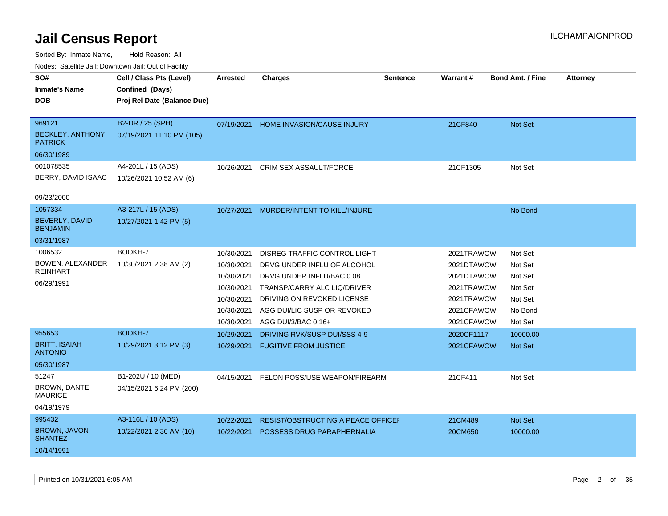| roaco. Catolino dall, Downtown dall, Out of Fability |                             |                 |                                   |                 |                 |                         |                 |
|------------------------------------------------------|-----------------------------|-----------------|-----------------------------------|-----------------|-----------------|-------------------------|-----------------|
| SO#                                                  | Cell / Class Pts (Level)    | <b>Arrested</b> | <b>Charges</b>                    | <b>Sentence</b> | <b>Warrant#</b> | <b>Bond Amt. / Fine</b> | <b>Attorney</b> |
| <b>Inmate's Name</b>                                 | Confined (Days)             |                 |                                   |                 |                 |                         |                 |
| <b>DOB</b>                                           | Proj Rel Date (Balance Due) |                 |                                   |                 |                 |                         |                 |
|                                                      |                             |                 |                                   |                 |                 |                         |                 |
| 969121                                               | B2-DR / 25 (SPH)            | 07/19/2021      | HOME INVASION/CAUSE INJURY        |                 | 21CF840         | Not Set                 |                 |
| <b>BECKLEY, ANTHONY</b><br><b>PATRICK</b>            | 07/19/2021 11:10 PM (105)   |                 |                                   |                 |                 |                         |                 |
| 06/30/1989                                           |                             |                 |                                   |                 |                 |                         |                 |
| 001078535                                            | A4-201L / 15 (ADS)          | 10/26/2021      | <b>CRIM SEX ASSAULT/FORCE</b>     |                 | 21CF1305        | Not Set                 |                 |
| BERRY, DAVID ISAAC                                   | 10/26/2021 10:52 AM (6)     |                 |                                   |                 |                 |                         |                 |
| 09/23/2000                                           |                             |                 |                                   |                 |                 |                         |                 |
| 1057334                                              | A3-217L / 15 (ADS)          | 10/27/2021      | MURDER/INTENT TO KILL/INJURE      |                 |                 | No Bond                 |                 |
| BEVERLY, DAVID<br><b>BENJAMIN</b>                    | 10/27/2021 1:42 PM (5)      |                 |                                   |                 |                 |                         |                 |
| 03/31/1987                                           |                             |                 |                                   |                 |                 |                         |                 |
| 1006532                                              | BOOKH-7                     | 10/30/2021      | DISREG TRAFFIC CONTROL LIGHT      |                 | 2021TRAWOW      | Not Set                 |                 |
| BOWEN, ALEXANDER                                     | 10/30/2021 2:38 AM (2)      | 10/30/2021      | DRVG UNDER INFLU OF ALCOHOL       |                 | 2021DTAWOW      | Not Set                 |                 |
| <b>REINHART</b>                                      |                             | 10/30/2021      | DRVG UNDER INFLU/BAC 0.08         |                 | 2021DTAWOW      | Not Set                 |                 |
| 06/29/1991                                           |                             | 10/30/2021      | TRANSP/CARRY ALC LIQ/DRIVER       |                 | 2021TRAWOW      | Not Set                 |                 |
|                                                      |                             | 10/30/2021      | DRIVING ON REVOKED LICENSE        |                 | 2021TRAWOW      | Not Set                 |                 |
|                                                      |                             | 10/30/2021      | AGG DUI/LIC SUSP OR REVOKED       |                 | 2021CFAWOW      | No Bond                 |                 |
|                                                      |                             | 10/30/2021      | AGG DUI/3/BAC 0.16+               |                 | 2021CFAWOW      | Not Set                 |                 |
| 955653                                               | BOOKH-7                     | 10/29/2021      | DRIVING RVK/SUSP DUI/SSS 4-9      |                 | 2020CF1117      | 10000.00                |                 |
| <b>BRITT, ISAIAH</b><br><b>ANTONIO</b>               | 10/29/2021 3:12 PM (3)      | 10/29/2021      | <b>FUGITIVE FROM JUSTICE</b>      |                 | 2021CFAWOW      | <b>Not Set</b>          |                 |
| 05/30/1987                                           |                             |                 |                                   |                 |                 |                         |                 |
| 51247                                                | B1-202U / 10 (MED)          | 04/15/2021      | FELON POSS/USE WEAPON/FIREARM     |                 | 21CF411         | Not Set                 |                 |
| <b>BROWN, DANTE</b><br><b>MAURICE</b>                | 04/15/2021 6:24 PM (200)    |                 |                                   |                 |                 |                         |                 |
| 04/19/1979                                           |                             |                 |                                   |                 |                 |                         |                 |
| 995432                                               | A3-116L / 10 (ADS)          | 10/22/2021      | RESIST/OBSTRUCTING A PEACE OFFICE |                 | 21CM489         | Not Set                 |                 |
| <b>BROWN, JAVON</b><br><b>SHANTEZ</b>                | 10/22/2021 2:36 AM (10)     | 10/22/2021      | POSSESS DRUG PARAPHERNALIA        |                 | 20CM650         | 10000.00                |                 |
| 10/14/1991                                           |                             |                 |                                   |                 |                 |                         |                 |
|                                                      |                             |                 |                                   |                 |                 |                         |                 |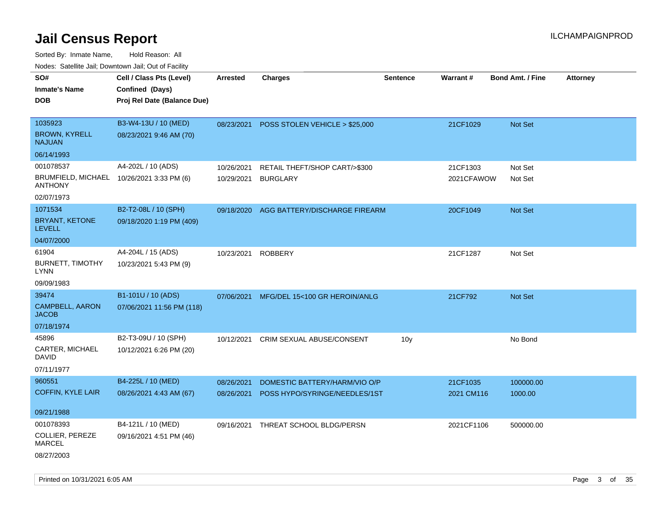| roaco. Catolino dall, Downtown dall, Out of Fability        |                             |            |                                           |                 |            |                         |                 |
|-------------------------------------------------------------|-----------------------------|------------|-------------------------------------------|-----------------|------------|-------------------------|-----------------|
| SO#                                                         | Cell / Class Pts (Level)    | Arrested   | <b>Charges</b>                            | <b>Sentence</b> | Warrant#   | <b>Bond Amt. / Fine</b> | <b>Attorney</b> |
| <b>Inmate's Name</b>                                        | Confined (Days)             |            |                                           |                 |            |                         |                 |
| <b>DOB</b>                                                  | Proj Rel Date (Balance Due) |            |                                           |                 |            |                         |                 |
|                                                             |                             |            |                                           |                 |            |                         |                 |
| 1035923                                                     | B3-W4-13U / 10 (MED)        |            | 08/23/2021 POSS STOLEN VEHICLE > \$25,000 |                 | 21CF1029   | Not Set                 |                 |
| <b>BROWN, KYRELL</b><br><b>NAJUAN</b>                       | 08/23/2021 9:46 AM (70)     |            |                                           |                 |            |                         |                 |
| 06/14/1993                                                  |                             |            |                                           |                 |            |                         |                 |
| 001078537                                                   | A4-202L / 10 (ADS)          | 10/26/2021 | RETAIL THEFT/SHOP CART/>\$300             |                 | 21CF1303   | Not Set                 |                 |
| BRUMFIELD, MICHAEL 10/26/2021 3:33 PM (6)<br><b>ANTHONY</b> |                             | 10/29/2021 | <b>BURGLARY</b>                           |                 | 2021CFAWOW | Not Set                 |                 |
| 02/07/1973                                                  |                             |            |                                           |                 |            |                         |                 |
| 1071534                                                     | B2-T2-08L / 10 (SPH)        | 09/18/2020 | AGG BATTERY/DISCHARGE FIREARM             |                 | 20CF1049   | Not Set                 |                 |
| BRYANT, KETONE<br><b>LEVELL</b>                             | 09/18/2020 1:19 PM (409)    |            |                                           |                 |            |                         |                 |
| 04/07/2000                                                  |                             |            |                                           |                 |            |                         |                 |
| 61904                                                       | A4-204L / 15 (ADS)          | 10/23/2021 | <b>ROBBERY</b>                            |                 | 21CF1287   | Not Set                 |                 |
| <b>BURNETT, TIMOTHY</b><br>LYNN                             | 10/23/2021 5:43 PM (9)      |            |                                           |                 |            |                         |                 |
| 09/09/1983                                                  |                             |            |                                           |                 |            |                         |                 |
| 39474                                                       | B1-101U / 10 (ADS)          | 07/06/2021 | MFG/DEL 15<100 GR HEROIN/ANLG             |                 | 21CF792    | <b>Not Set</b>          |                 |
| <b>CAMPBELL, AARON</b><br><b>JACOB</b>                      | 07/06/2021 11:56 PM (118)   |            |                                           |                 |            |                         |                 |
| 07/18/1974                                                  |                             |            |                                           |                 |            |                         |                 |
| 45896                                                       | B2-T3-09U / 10 (SPH)        | 10/12/2021 | <b>CRIM SEXUAL ABUSE/CONSENT</b>          | 10 <sub>V</sub> |            | No Bond                 |                 |
| CARTER, MICHAEL<br>DAVID                                    | 10/12/2021 6:26 PM (20)     |            |                                           |                 |            |                         |                 |
| 07/11/1977                                                  |                             |            |                                           |                 |            |                         |                 |
| 960551                                                      | B4-225L / 10 (MED)          | 08/26/2021 | DOMESTIC BATTERY/HARM/VIO O/P             |                 | 21CF1035   | 100000.00               |                 |
| <b>COFFIN, KYLE LAIR</b>                                    | 08/26/2021 4:43 AM (67)     | 08/26/2021 | POSS HYPO/SYRINGE/NEEDLES/1ST             |                 | 2021 CM116 | 1000.00                 |                 |
| 09/21/1988                                                  |                             |            |                                           |                 |            |                         |                 |
| 001078393                                                   | B4-121L / 10 (MED)          | 09/16/2021 | THREAT SCHOOL BLDG/PERSN                  |                 | 2021CF1106 | 500000.00               |                 |
| COLLIER, PEREZE<br>MARCEL                                   | 09/16/2021 4:51 PM (46)     |            |                                           |                 |            |                         |                 |
| 08/27/2003                                                  |                             |            |                                           |                 |            |                         |                 |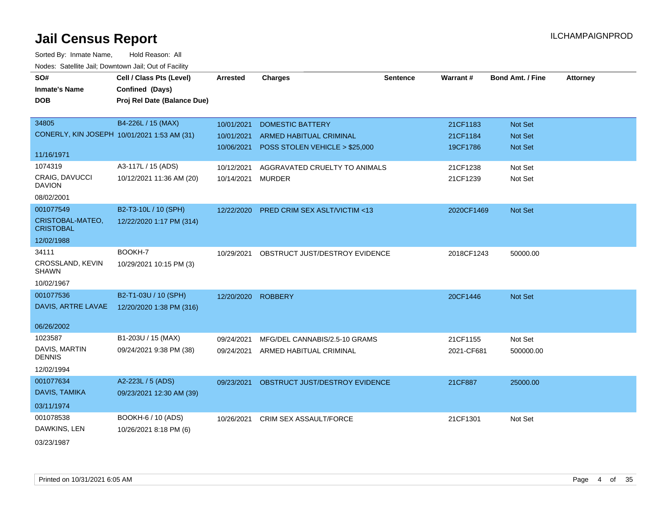| SO#                                  | Cell / Class Pts (Level)                    | <b>Arrested</b>    | <b>Charges</b>                           | <b>Sentence</b> | Warrant#   | <b>Bond Amt. / Fine</b> | <b>Attorney</b> |
|--------------------------------------|---------------------------------------------|--------------------|------------------------------------------|-----------------|------------|-------------------------|-----------------|
| <b>Inmate's Name</b>                 | Confined (Days)                             |                    |                                          |                 |            |                         |                 |
| <b>DOB</b>                           | Proj Rel Date (Balance Due)                 |                    |                                          |                 |            |                         |                 |
|                                      |                                             |                    |                                          |                 |            |                         |                 |
| 34805                                | B4-226L / 15 (MAX)                          | 10/01/2021         | <b>DOMESTIC BATTERY</b>                  |                 | 21CF1183   | Not Set                 |                 |
|                                      | CONERLY, KIN JOSEPH 10/01/2021 1:53 AM (31) | 10/01/2021         | ARMED HABITUAL CRIMINAL                  |                 | 21CF1184   | Not Set                 |                 |
|                                      |                                             | 10/06/2021         | POSS STOLEN VEHICLE > \$25,000           |                 | 19CF1786   | <b>Not Set</b>          |                 |
| 11/16/1971                           |                                             |                    |                                          |                 |            |                         |                 |
| 1074319                              | A3-117L / 15 (ADS)                          | 10/12/2021         | AGGRAVATED CRUELTY TO ANIMALS            |                 | 21CF1238   | Not Set                 |                 |
| CRAIG, DAVUCCI<br><b>DAVION</b>      | 10/12/2021 11:36 AM (20)                    | 10/14/2021         | <b>MURDER</b>                            |                 | 21CF1239   | Not Set                 |                 |
| 08/02/2001                           |                                             |                    |                                          |                 |            |                         |                 |
| 001077549                            | B2-T3-10L / 10 (SPH)                        |                    | 12/22/2020 PRED CRIM SEX ASLT/VICTIM <13 |                 | 2020CF1469 | Not Set                 |                 |
| CRISTOBAL-MATEO,<br><b>CRISTOBAL</b> | 12/22/2020 1:17 PM (314)                    |                    |                                          |                 |            |                         |                 |
| 12/02/1988                           |                                             |                    |                                          |                 |            |                         |                 |
| 34111                                | BOOKH-7                                     | 10/29/2021         | OBSTRUCT JUST/DESTROY EVIDENCE           |                 | 2018CF1243 | 50000.00                |                 |
| CROSSLAND, KEVIN<br><b>SHAWN</b>     | 10/29/2021 10:15 PM (3)                     |                    |                                          |                 |            |                         |                 |
| 10/02/1967                           |                                             |                    |                                          |                 |            |                         |                 |
| 001077536                            | B2-T1-03U / 10 (SPH)                        | 12/20/2020 ROBBERY |                                          |                 | 20CF1446   | <b>Not Set</b>          |                 |
| DAVIS, ARTRE LAVAE                   | 12/20/2020 1:38 PM (316)                    |                    |                                          |                 |            |                         |                 |
|                                      |                                             |                    |                                          |                 |            |                         |                 |
| 06/26/2002                           |                                             |                    |                                          |                 |            |                         |                 |
| 1023587                              | B1-203U / 15 (MAX)                          | 09/24/2021         | MFG/DEL CANNABIS/2.5-10 GRAMS            |                 | 21CF1155   | Not Set                 |                 |
| DAVIS, MARTIN<br><b>DENNIS</b>       | 09/24/2021 9:38 PM (38)                     |                    | 09/24/2021 ARMED HABITUAL CRIMINAL       |                 | 2021-CF681 | 500000.00               |                 |
| 12/02/1994                           |                                             |                    |                                          |                 |            |                         |                 |
| 001077634                            | A2-223L / 5 (ADS)                           | 09/23/2021         | OBSTRUCT JUST/DESTROY EVIDENCE           |                 | 21CF887    | 25000.00                |                 |
| DAVIS, TAMIKA                        | 09/23/2021 12:30 AM (39)                    |                    |                                          |                 |            |                         |                 |
| 03/11/1974                           |                                             |                    |                                          |                 |            |                         |                 |
| 001078538                            | BOOKH-6 / 10 (ADS)                          | 10/26/2021         | CRIM SEX ASSAULT/FORCE                   |                 | 21CF1301   | Not Set                 |                 |
| DAWKINS, LEN                         | 10/26/2021 8:18 PM (6)                      |                    |                                          |                 |            |                         |                 |
| 03/23/1987                           |                                             |                    |                                          |                 |            |                         |                 |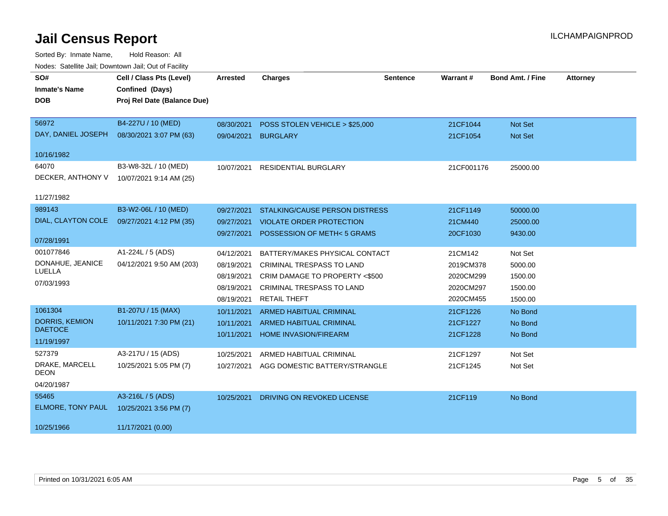| SO#                    | Cell / Class Pts (Level)    | <b>Arrested</b> | <b>Charges</b>                        | <b>Sentence</b> | Warrant#   | <b>Bond Amt. / Fine</b> | <b>Attorney</b> |
|------------------------|-----------------------------|-----------------|---------------------------------------|-----------------|------------|-------------------------|-----------------|
| <b>Inmate's Name</b>   | Confined (Days)             |                 |                                       |                 |            |                         |                 |
| <b>DOB</b>             | Proj Rel Date (Balance Due) |                 |                                       |                 |            |                         |                 |
|                        |                             |                 |                                       |                 |            |                         |                 |
| 56972                  | B4-227U / 10 (MED)          | 08/30/2021      | POSS STOLEN VEHICLE > \$25,000        |                 | 21CF1044   | <b>Not Set</b>          |                 |
| DAY, DANIEL JOSEPH     | 08/30/2021 3:07 PM (63)     |                 | 09/04/2021 BURGLARY                   |                 | 21CF1054   | <b>Not Set</b>          |                 |
| 10/16/1982             |                             |                 |                                       |                 |            |                         |                 |
| 64070                  | B3-W8-32L / 10 (MED)        | 10/07/2021      | <b>RESIDENTIAL BURGLARY</b>           |                 | 21CF001176 | 25000.00                |                 |
| DECKER, ANTHONY V      | 10/07/2021 9:14 AM (25)     |                 |                                       |                 |            |                         |                 |
|                        |                             |                 |                                       |                 |            |                         |                 |
| 11/27/1982             |                             |                 |                                       |                 |            |                         |                 |
| 989143                 | B3-W2-06L / 10 (MED)        | 09/27/2021      | <b>STALKING/CAUSE PERSON DISTRESS</b> |                 | 21CF1149   | 50000.00                |                 |
| DIAL, CLAYTON COLE     | 09/27/2021 4:12 PM (35)     | 09/27/2021      | <b>VIOLATE ORDER PROTECTION</b>       |                 | 21CM440    | 25000.00                |                 |
|                        |                             | 09/27/2021      | POSSESSION OF METH<5 GRAMS            |                 | 20CF1030   | 9430.00                 |                 |
| 07/28/1991             |                             |                 |                                       |                 |            |                         |                 |
| 001077846              | A1-224L / 5 (ADS)           | 04/12/2021      | BATTERY/MAKES PHYSICAL CONTACT        |                 | 21CM142    | Not Set                 |                 |
| DONAHUE, JEANICE       | 04/12/2021 9:50 AM (203)    | 08/19/2021      | <b>CRIMINAL TRESPASS TO LAND</b>      |                 | 2019CM378  | 5000.00                 |                 |
| LUELLA                 |                             | 08/19/2021      | CRIM DAMAGE TO PROPERTY <\$500        |                 | 2020CM299  | 1500.00                 |                 |
| 07/03/1993             |                             | 08/19/2021      | <b>CRIMINAL TRESPASS TO LAND</b>      |                 | 2020CM297  | 1500.00                 |                 |
|                        |                             | 08/19/2021      | <b>RETAIL THEFT</b>                   |                 | 2020CM455  | 1500.00                 |                 |
| 1061304                | B1-207U / 15 (MAX)          | 10/11/2021      | <b>ARMED HABITUAL CRIMINAL</b>        |                 | 21CF1226   | No Bond                 |                 |
| <b>DORRIS, KEMION</b>  | 10/11/2021 7:30 PM (21)     | 10/11/2021      | <b>ARMED HABITUAL CRIMINAL</b>        |                 | 21CF1227   | No Bond                 |                 |
| <b>DAETOCE</b>         |                             | 10/11/2021      | <b>HOME INVASION/FIREARM</b>          |                 | 21CF1228   | No Bond                 |                 |
| 11/19/1997             |                             |                 |                                       |                 |            |                         |                 |
| 527379                 | A3-217U / 15 (ADS)          | 10/25/2021      | ARMED HABITUAL CRIMINAL               |                 | 21CF1297   | Not Set                 |                 |
| DRAKE, MARCELL<br>DEON | 10/25/2021 5:05 PM (7)      | 10/27/2021      | AGG DOMESTIC BATTERY/STRANGLE         |                 | 21CF1245   | Not Set                 |                 |
| 04/20/1987             |                             |                 |                                       |                 |            |                         |                 |
| 55465                  | A3-216L / 5 (ADS)           | 10/25/2021      | DRIVING ON REVOKED LICENSE            |                 | 21CF119    | No Bond                 |                 |
| ELMORE, TONY PAUL      | 10/25/2021 3:56 PM (7)      |                 |                                       |                 |            |                         |                 |
| 10/25/1966             | 11/17/2021 (0.00)           |                 |                                       |                 |            |                         |                 |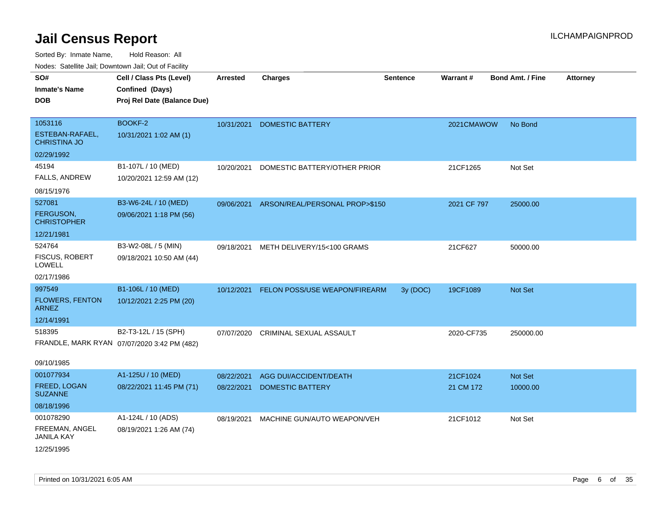| SO#<br><b>Inmate's Name</b><br><b>DOB</b>         | Cell / Class Pts (Level)<br>Confined (Days)<br>Proj Rel Date (Balance Due) | <b>Arrested</b> | <b>Charges</b>                            | <b>Sentence</b> | Warrant#    | <b>Bond Amt. / Fine</b> | <b>Attorney</b> |
|---------------------------------------------------|----------------------------------------------------------------------------|-----------------|-------------------------------------------|-----------------|-------------|-------------------------|-----------------|
| 1053116<br>ESTEBAN-RAFAEL,<br><b>CHRISTINA JO</b> | <b>BOOKF-2</b><br>10/31/2021 1:02 AM (1)                                   | 10/31/2021      | <b>DOMESTIC BATTERY</b>                   |                 | 2021CMAWOW  | No Bond                 |                 |
| 02/29/1992                                        |                                                                            |                 |                                           |                 |             |                         |                 |
| 45194                                             | B1-107L / 10 (MED)                                                         | 10/20/2021      | DOMESTIC BATTERY/OTHER PRIOR              |                 | 21CF1265    | Not Set                 |                 |
| FALLS, ANDREW                                     | 10/20/2021 12:59 AM (12)                                                   |                 |                                           |                 |             |                         |                 |
| 08/15/1976                                        |                                                                            |                 |                                           |                 |             |                         |                 |
| 527081                                            | B3-W6-24L / 10 (MED)                                                       |                 | 09/06/2021 ARSON/REAL/PERSONAL PROP>\$150 |                 | 2021 CF 797 | 25000.00                |                 |
| <b>FERGUSON,</b><br><b>CHRISTOPHER</b>            | 09/06/2021 1:18 PM (56)                                                    |                 |                                           |                 |             |                         |                 |
| 12/21/1981                                        |                                                                            |                 |                                           |                 |             |                         |                 |
| 524764                                            | B3-W2-08L / 5 (MIN)                                                        | 09/18/2021      | METH DELIVERY/15<100 GRAMS                |                 | 21CF627     | 50000.00                |                 |
| <b>FISCUS, ROBERT</b><br><b>LOWELL</b>            | 09/18/2021 10:50 AM (44)                                                   |                 |                                           |                 |             |                         |                 |
| 02/17/1986                                        |                                                                            |                 |                                           |                 |             |                         |                 |
| 997549                                            | B1-106L / 10 (MED)                                                         | 10/12/2021      | FELON POSS/USE WEAPON/FIREARM             | 3y (DOC)        | 19CF1089    | Not Set                 |                 |
| <b>FLOWERS, FENTON</b><br><b>ARNEZ</b>            | 10/12/2021 2:25 PM (20)                                                    |                 |                                           |                 |             |                         |                 |
| 12/14/1991                                        |                                                                            |                 |                                           |                 |             |                         |                 |
| 518395                                            | B2-T3-12L / 15 (SPH)                                                       | 07/07/2020      | CRIMINAL SEXUAL ASSAULT                   |                 | 2020-CF735  | 250000.00               |                 |
|                                                   | FRANDLE, MARK RYAN 07/07/2020 3:42 PM (482)                                |                 |                                           |                 |             |                         |                 |
| 09/10/1985                                        |                                                                            |                 |                                           |                 |             |                         |                 |
| 001077934                                         | A1-125U / 10 (MED)                                                         | 08/22/2021      | AGG DUI/ACCIDENT/DEATH                    |                 | 21CF1024    | Not Set                 |                 |
| FREED, LOGAN<br><b>SUZANNE</b>                    | 08/22/2021 11:45 PM (71)                                                   | 08/22/2021      | <b>DOMESTIC BATTERY</b>                   |                 | 21 CM 172   | 10000.00                |                 |
| 08/18/1996                                        |                                                                            |                 |                                           |                 |             |                         |                 |
| 001078290                                         | A1-124L / 10 (ADS)                                                         | 08/19/2021      | MACHINE GUN/AUTO WEAPON/VEH               |                 | 21CF1012    | Not Set                 |                 |
| FREEMAN, ANGEL<br><b>JANILA KAY</b>               | 08/19/2021 1:26 AM (74)                                                    |                 |                                           |                 |             |                         |                 |
| 12/25/1995                                        |                                                                            |                 |                                           |                 |             |                         |                 |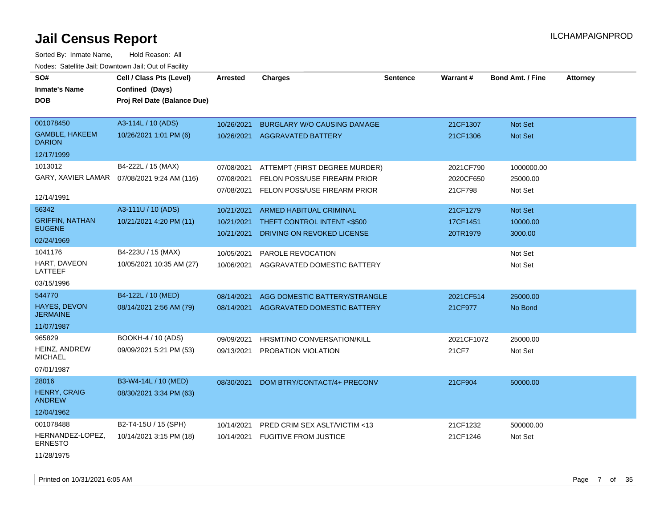| SO#                                    | Cell / Class Pts (Level)                     | <b>Arrested</b> | <b>Charges</b>                         | <b>Sentence</b> | <b>Warrant#</b> | <b>Bond Amt. / Fine</b> | <b>Attorney</b> |
|----------------------------------------|----------------------------------------------|-----------------|----------------------------------------|-----------------|-----------------|-------------------------|-----------------|
| <b>Inmate's Name</b>                   | Confined (Days)                              |                 |                                        |                 |                 |                         |                 |
| <b>DOB</b>                             | Proj Rel Date (Balance Due)                  |                 |                                        |                 |                 |                         |                 |
|                                        |                                              |                 |                                        |                 |                 |                         |                 |
| 001078450                              | A3-114L / 10 (ADS)                           | 10/26/2021      | BURGLARY W/O CAUSING DAMAGE            |                 | 21CF1307        | Not Set                 |                 |
| <b>GAMBLE, HAKEEM</b><br><b>DARION</b> | 10/26/2021 1:01 PM (6)                       |                 | 10/26/2021 AGGRAVATED BATTERY          |                 | 21CF1306        | Not Set                 |                 |
| 12/17/1999                             |                                              |                 |                                        |                 |                 |                         |                 |
| 1013012                                | B4-222L / 15 (MAX)                           | 07/08/2021      | ATTEMPT (FIRST DEGREE MURDER)          |                 | 2021CF790       | 1000000.00              |                 |
|                                        | GARY, XAVIER LAMAR  07/08/2021 9:24 AM (116) | 07/08/2021      | FELON POSS/USE FIREARM PRIOR           |                 | 2020CF650       | 25000.00                |                 |
| 12/14/1991                             |                                              | 07/08/2021      | FELON POSS/USE FIREARM PRIOR           |                 | 21CF798         | Not Set                 |                 |
| 56342                                  | A3-111U / 10 (ADS)                           | 10/21/2021      | <b>ARMED HABITUAL CRIMINAL</b>         |                 | 21CF1279        | <b>Not Set</b>          |                 |
| <b>GRIFFIN, NATHAN</b>                 | 10/21/2021 4:20 PM (11)                      | 10/21/2021      | THEFT CONTROL INTENT <\$500            |                 | 17CF1451        | 10000.00                |                 |
| <b>EUGENE</b>                          |                                              | 10/21/2021      | DRIVING ON REVOKED LICENSE             |                 | 20TR1979        | 3000.00                 |                 |
| 02/24/1969                             |                                              |                 |                                        |                 |                 |                         |                 |
| 1041176                                | B4-223U / 15 (MAX)                           | 10/05/2021      | PAROLE REVOCATION                      |                 |                 | Not Set                 |                 |
| HART, DAVEON<br>LATTEEF                | 10/05/2021 10:35 AM (27)                     | 10/06/2021      | AGGRAVATED DOMESTIC BATTERY            |                 |                 | Not Set                 |                 |
| 03/15/1996                             |                                              |                 |                                        |                 |                 |                         |                 |
| 544770                                 | B4-122L / 10 (MED)                           | 08/14/2021      | AGG DOMESTIC BATTERY/STRANGLE          |                 | 2021CF514       | 25000.00                |                 |
| HAYES, DEVON<br><b>JERMAINE</b>        | 08/14/2021 2:56 AM (79)                      |                 | 08/14/2021 AGGRAVATED DOMESTIC BATTERY |                 | 21CF977         | No Bond                 |                 |
| 11/07/1987                             |                                              |                 |                                        |                 |                 |                         |                 |
| 965829                                 | BOOKH-4 / 10 (ADS)                           | 09/09/2021      | HRSMT/NO CONVERSATION/KILL             |                 | 2021CF1072      | 25000.00                |                 |
| <b>HEINZ, ANDREW</b><br><b>MICHAEL</b> | 09/09/2021 5:21 PM (53)                      | 09/13/2021      | PROBATION VIOLATION                    |                 | 21CF7           | Not Set                 |                 |
| 07/01/1987                             |                                              |                 |                                        |                 |                 |                         |                 |
| 28016                                  | B3-W4-14L / 10 (MED)                         | 08/30/2021      | DOM BTRY/CONTACT/4+ PRECONV            |                 | 21CF904         | 50000.00                |                 |
| <b>HENRY, CRAIG</b><br><b>ANDREW</b>   | 08/30/2021 3:34 PM (63)                      |                 |                                        |                 |                 |                         |                 |
| 12/04/1962                             |                                              |                 |                                        |                 |                 |                         |                 |
| 001078488                              | B2-T4-15U / 15 (SPH)                         | 10/14/2021      | PRED CRIM SEX ASLT/VICTIM <13          |                 | 21CF1232        | 500000.00               |                 |
| HERNANDEZ-LOPEZ,<br><b>ERNESTO</b>     | 10/14/2021 3:15 PM (18)                      |                 | 10/14/2021 FUGITIVE FROM JUSTICE       |                 | 21CF1246        | Not Set                 |                 |
| 11/28/1975                             |                                              |                 |                                        |                 |                 |                         |                 |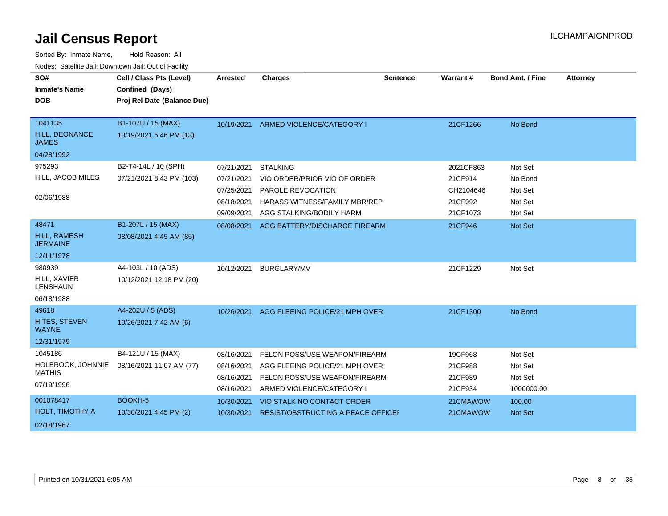| SO#<br><b>Inmate's Name</b><br><b>DOB</b> | Cell / Class Pts (Level)<br>Confined (Days)<br>Proj Rel Date (Balance Due) | <b>Arrested</b> | <b>Charges</b>                       | <b>Sentence</b> | Warrant#  | <b>Bond Amt. / Fine</b> | <b>Attorney</b> |
|-------------------------------------------|----------------------------------------------------------------------------|-----------------|--------------------------------------|-----------------|-----------|-------------------------|-----------------|
|                                           |                                                                            |                 |                                      |                 |           |                         |                 |
| 1041135                                   | B1-107U / 15 (MAX)                                                         | 10/19/2021      | ARMED VIOLENCE/CATEGORY I            |                 | 21CF1266  | No Bond                 |                 |
| HILL, DEONANCE<br><b>JAMES</b>            | 10/19/2021 5:46 PM (13)                                                    |                 |                                      |                 |           |                         |                 |
| 04/28/1992                                |                                                                            |                 |                                      |                 |           |                         |                 |
| 975293                                    | B2-T4-14L / 10 (SPH)                                                       | 07/21/2021      | <b>STALKING</b>                      |                 | 2021CF863 | Not Set                 |                 |
| HILL, JACOB MILES                         | 07/21/2021 8:43 PM (103)                                                   | 07/21/2021      | VIO ORDER/PRIOR VIO OF ORDER         |                 | 21CF914   | No Bond                 |                 |
|                                           |                                                                            | 07/25/2021      | PAROLE REVOCATION                    |                 | CH2104646 | Not Set                 |                 |
| 02/06/1988                                |                                                                            | 08/18/2021      | <b>HARASS WITNESS/FAMILY MBR/REP</b> |                 | 21CF992   | Not Set                 |                 |
|                                           |                                                                            | 09/09/2021      | AGG STALKING/BODILY HARM             |                 | 21CF1073  | Not Set                 |                 |
| 48471                                     | B1-207L / 15 (MAX)                                                         | 08/08/2021      | AGG BATTERY/DISCHARGE FIREARM        |                 | 21CF946   | Not Set                 |                 |
| HILL, RAMESH<br><b>JERMAINE</b>           | 08/08/2021 4:45 AM (85)                                                    |                 |                                      |                 |           |                         |                 |
| 12/11/1978                                |                                                                            |                 |                                      |                 |           |                         |                 |
| 980939                                    | A4-103L / 10 (ADS)                                                         | 10/12/2021      | <b>BURGLARY/MV</b>                   |                 | 21CF1229  | Not Set                 |                 |
| HILL, XAVIER<br><b>LENSHAUN</b>           | 10/12/2021 12:18 PM (20)                                                   |                 |                                      |                 |           |                         |                 |
| 06/18/1988                                |                                                                            |                 |                                      |                 |           |                         |                 |
| 49618                                     | A4-202U / 5 (ADS)                                                          | 10/26/2021      | AGG FLEEING POLICE/21 MPH OVER       |                 | 21CF1300  | No Bond                 |                 |
| HITES, STEVEN<br><b>WAYNE</b>             | 10/26/2021 7:42 AM (6)                                                     |                 |                                      |                 |           |                         |                 |
| 12/31/1979                                |                                                                            |                 |                                      |                 |           |                         |                 |
| 1045186                                   | B4-121U / 15 (MAX)                                                         | 08/16/2021      | FELON POSS/USE WEAPON/FIREARM        |                 | 19CF968   | Not Set                 |                 |
| HOLBROOK, JOHNNIE                         | 08/16/2021 11:07 AM (77)                                                   | 08/16/2021      | AGG FLEEING POLICE/21 MPH OVER       |                 | 21CF988   | Not Set                 |                 |
| <b>MATHIS</b>                             |                                                                            | 08/16/2021      | FELON POSS/USE WEAPON/FIREARM        |                 | 21CF989   | Not Set                 |                 |
| 07/19/1996                                |                                                                            | 08/16/2021      | ARMED VIOLENCE/CATEGORY I            |                 | 21CF934   | 1000000.00              |                 |
| 001078417                                 | BOOKH-5                                                                    | 10/30/2021      | VIO STALK NO CONTACT ORDER           |                 | 21CMAWOW  | 100.00                  |                 |
| HOLT, TIMOTHY A                           | 10/30/2021 4:45 PM (2)                                                     | 10/30/2021      | RESIST/OBSTRUCTING A PEACE OFFICEI   |                 | 21CMAWOW  | <b>Not Set</b>          |                 |
| 02/18/1967                                |                                                                            |                 |                                      |                 |           |                         |                 |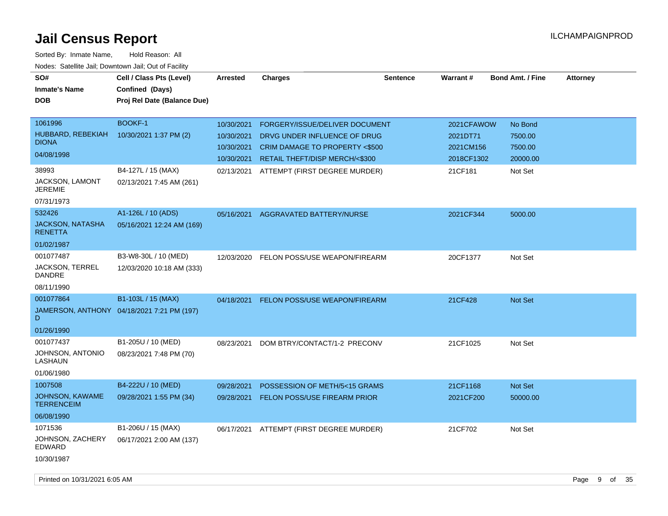| SO#<br><b>Inmate's Name</b><br><b>DOB</b>                                                   | Cell / Class Pts (Level)<br>Confined (Days)<br>Proj Rel Date (Balance Due) | <b>Arrested</b>                                      | <b>Charges</b>                                                                                                                               | <b>Sentence</b> | <b>Warrant#</b>                                   | <b>Bond Amt. / Fine</b>                   | <b>Attorney</b> |         |    |
|---------------------------------------------------------------------------------------------|----------------------------------------------------------------------------|------------------------------------------------------|----------------------------------------------------------------------------------------------------------------------------------------------|-----------------|---------------------------------------------------|-------------------------------------------|-----------------|---------|----|
| 1061996<br>HUBBARD, REBEKIAH<br><b>DIONA</b><br>04/08/1998                                  | <b>BOOKF-1</b><br>10/30/2021 1:37 PM (2)                                   | 10/30/2021<br>10/30/2021<br>10/30/2021<br>10/30/2021 | FORGERY/ISSUE/DELIVER DOCUMENT<br>DRVG UNDER INFLUENCE OF DRUG<br><b>CRIM DAMAGE TO PROPERTY &lt;\$500</b><br>RETAIL THEFT/DISP MERCH/<\$300 |                 | 2021CFAWOW<br>2021DT71<br>2021CM156<br>2018CF1302 | No Bond<br>7500.00<br>7500.00<br>20000.00 |                 |         |    |
| 38993<br>JACKSON, LAMONT<br><b>JEREMIE</b><br>07/31/1973                                    | B4-127L / 15 (MAX)<br>02/13/2021 7:45 AM (261)                             | 02/13/2021                                           | ATTEMPT (FIRST DEGREE MURDER)                                                                                                                |                 | 21CF181                                           | Not Set                                   |                 |         |    |
| 532426<br><b>JACKSON, NATASHA</b><br><b>RENETTA</b><br>01/02/1987                           | A1-126L / 10 (ADS)<br>05/16/2021 12:24 AM (169)                            | 05/16/2021                                           | AGGRAVATED BATTERY/NURSE                                                                                                                     |                 | 2021CF344                                         | 5000.00                                   |                 |         |    |
| 001077487<br><b>JACKSON, TERREL</b><br><b>DANDRE</b><br>08/11/1990                          | B3-W8-30L / 10 (MED)<br>12/03/2020 10:18 AM (333)                          | 12/03/2020                                           | FELON POSS/USE WEAPON/FIREARM                                                                                                                |                 | 20CF1377                                          | Not Set                                   |                 |         |    |
| 001077864<br>D<br>01/26/1990                                                                | B1-103L / 15 (MAX)<br>JAMERSON, ANTHONY 04/18/2021 7:21 PM (197)           |                                                      | 04/18/2021 FELON POSS/USE WEAPON/FIREARM                                                                                                     |                 | 21CF428                                           | <b>Not Set</b>                            |                 |         |    |
| 001077437<br>JOHNSON, ANTONIO<br>LASHAUN<br>01/06/1980                                      | B1-205U / 10 (MED)<br>08/23/2021 7:48 PM (70)                              | 08/23/2021                                           | DOM BTRY/CONTACT/1-2 PRECONV                                                                                                                 |                 | 21CF1025                                          | Not Set                                   |                 |         |    |
| 1007508<br>JOHNSON, KAWAME<br><b>TERRENCEIM</b><br>06/08/1990                               | B4-222U / 10 (MED)<br>09/28/2021 1:55 PM (34)                              | 09/28/2021<br>09/28/2021                             | POSSESSION OF METH/5<15 GRAMS<br><b>FELON POSS/USE FIREARM PRIOR</b>                                                                         |                 | 21CF1168<br>2021CF200                             | Not Set<br>50000.00                       |                 |         |    |
| 1071536<br>JOHNSON, ZACHERY<br><b>EDWARD</b><br>10/30/1987<br>Printed on 10/31/2021 6:05 AM | B1-206U / 15 (MAX)<br>06/17/2021 2:00 AM (137)                             | 06/17/2021                                           | ATTEMPT (FIRST DEGREE MURDER)                                                                                                                |                 | 21CF702                                           | Not Set                                   | Page            | of<br>9 | 35 |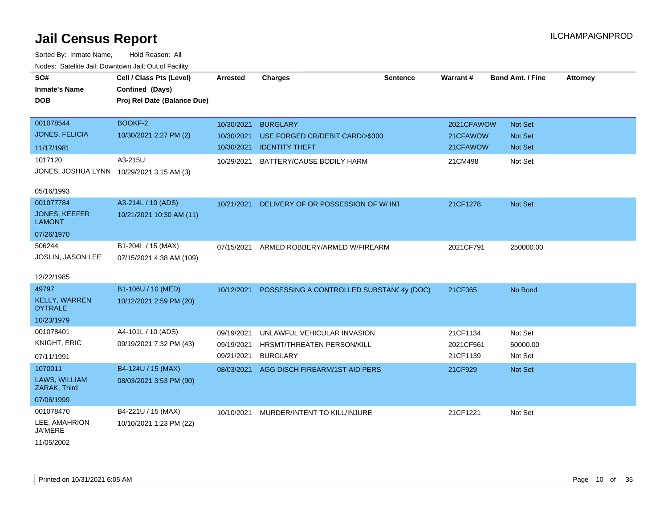Sorted By: Inmate Name, Hold Reason: All Nodes: Satellite Jail; Downtown Jail; Out of Facility

| SO#                                       | Cell / Class Pts (Level)    | Arrested   | <b>Charges</b>                            | <b>Sentence</b> | <b>Warrant#</b> | <b>Bond Amt. / Fine</b> | <b>Attorney</b> |
|-------------------------------------------|-----------------------------|------------|-------------------------------------------|-----------------|-----------------|-------------------------|-----------------|
| <b>Inmate's Name</b>                      | Confined (Days)             |            |                                           |                 |                 |                         |                 |
| <b>DOB</b>                                | Proj Rel Date (Balance Due) |            |                                           |                 |                 |                         |                 |
|                                           |                             |            |                                           |                 |                 |                         |                 |
| 001078544                                 | BOOKF-2                     | 10/30/2021 | <b>BURGLARY</b>                           |                 | 2021CFAWOW      | Not Set                 |                 |
| <b>JONES, FELICIA</b>                     | 10/30/2021 2:27 PM (2)      | 10/30/2021 | USE FORGED CR/DEBIT CARD/>\$300           |                 | 21CFAWOW        | <b>Not Set</b>          |                 |
| 11/17/1981                                |                             | 10/30/2021 | <b>IDENTITY THEFT</b>                     |                 | 21CFAWOW        | Not Set                 |                 |
| 1017120                                   | A3-215U                     | 10/29/2021 | BATTERY/CAUSE BODILY HARM                 |                 | 21CM498         | Not Set                 |                 |
| JONES, JOSHUA LYNN 10/29/2021 3:15 AM (3) |                             |            |                                           |                 |                 |                         |                 |
|                                           |                             |            |                                           |                 |                 |                         |                 |
| 05/16/1993                                |                             |            |                                           |                 |                 |                         |                 |
| 001077784                                 | A3-214L / 10 (ADS)          | 10/21/2021 | DELIVERY OF OR POSSESSION OF W/ INT       |                 | 21CF1278        | Not Set                 |                 |
| <b>JONES, KEEFER</b><br><b>LAMONT</b>     | 10/21/2021 10:30 AM (11)    |            |                                           |                 |                 |                         |                 |
| 07/26/1970                                |                             |            |                                           |                 |                 |                         |                 |
| 506244                                    | B1-204L / 15 (MAX)          | 07/15/2021 | ARMED ROBBERY/ARMED W/FIREARM             |                 | 2021CF791       | 250000.00               |                 |
| JOSLIN, JASON LEE                         | 07/15/2021 4:38 AM (109)    |            |                                           |                 |                 |                         |                 |
|                                           |                             |            |                                           |                 |                 |                         |                 |
| 12/22/1985                                |                             |            |                                           |                 |                 |                         |                 |
| 49797                                     | B1-106U / 10 (MED)          | 10/12/2021 | POSSESSING A CONTROLLED SUBSTANC 4y (DOC) |                 | 21CF365         | No Bond                 |                 |
| <b>KELLY, WARREN</b><br><b>DYTRALE</b>    | 10/12/2021 2:59 PM (20)     |            |                                           |                 |                 |                         |                 |
| 10/23/1979                                |                             |            |                                           |                 |                 |                         |                 |
| 001078401                                 | A4-101L / 10 (ADS)          | 09/19/2021 | UNLAWFUL VEHICULAR INVASION               |                 | 21CF1134        | Not Set                 |                 |
| KNIGHT, ERIC                              | 09/19/2021 7:32 PM (43)     | 09/19/2021 | HRSMT/THREATEN PERSON/KILL                |                 | 2021CF561       | 50000.00                |                 |
| 07/11/1991                                |                             | 09/21/2021 | <b>BURGLARY</b>                           |                 | 21CF1139        | Not Set                 |                 |
| 1070011                                   | B4-124U / 15 (MAX)          | 08/03/2021 | AGG DISCH FIREARM/1ST AID PERS            |                 | 21CF929         | Not Set                 |                 |
| LAWS, WILLIAM<br>ZARAK, Third             | 08/03/2021 3:53 PM (90)     |            |                                           |                 |                 |                         |                 |
| 07/06/1999                                |                             |            |                                           |                 |                 |                         |                 |
| 001078470                                 | B4-221U / 15 (MAX)          | 10/10/2021 | MURDER/INTENT TO KILL/INJURE              |                 | 21CF1221        | Not Set                 |                 |
| LEE, AMAHRION<br><b>JA'MERE</b>           | 10/10/2021 1:23 PM (22)     |            |                                           |                 |                 |                         |                 |
| 4410510000                                |                             |            |                                           |                 |                 |                         |                 |

11/05/2002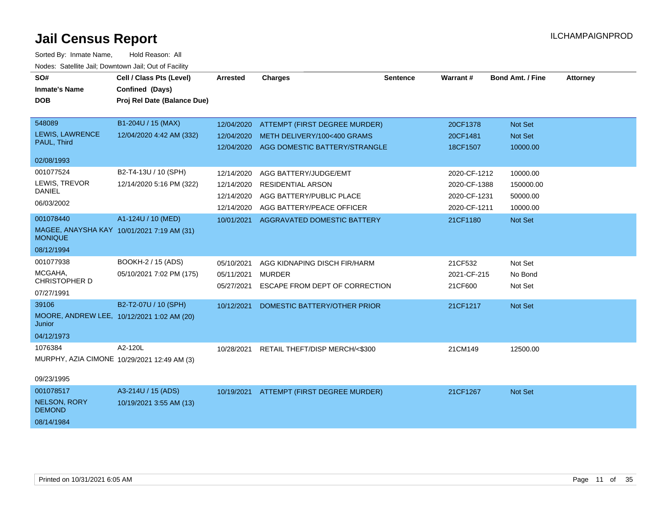| SO#<br><b>Inmate's Name</b><br><b>DOB</b>                                               | Cell / Class Pts (Level)<br>Confined (Days)<br>Proj Rel Date (Balance Due) | <b>Arrested</b>                                      | <b>Charges</b>                                                                                             | <b>Sentence</b> | Warrant#                                                     | <b>Bond Amt. / Fine</b>                       | <b>Attorney</b> |
|-----------------------------------------------------------------------------------------|----------------------------------------------------------------------------|------------------------------------------------------|------------------------------------------------------------------------------------------------------------|-----------------|--------------------------------------------------------------|-----------------------------------------------|-----------------|
| 548089<br>LEWIS, LAWRENCE<br>PAUL, Third<br>02/08/1993                                  | B1-204U / 15 (MAX)<br>12/04/2020 4:42 AM (332)                             | 12/04/2020<br>12/04/2020                             | ATTEMPT (FIRST DEGREE MURDER)<br>METH DELIVERY/100<400 GRAMS<br>12/04/2020 AGG DOMESTIC BATTERY/STRANGLE   |                 | 20CF1378<br>20CF1481<br>18CF1507                             | Not Set<br>Not Set<br>10000.00                |                 |
| 001077524<br>LEWIS, TREVOR<br><b>DANIEL</b><br>06/03/2002                               | B2-T4-13U / 10 (SPH)<br>12/14/2020 5:16 PM (322)                           | 12/14/2020<br>12/14/2020<br>12/14/2020<br>12/14/2020 | AGG BATTERY/JUDGE/EMT<br><b>RESIDENTIAL ARSON</b><br>AGG BATTERY/PUBLIC PLACE<br>AGG BATTERY/PEACE OFFICER |                 | 2020-CF-1212<br>2020-CF-1388<br>2020-CF-1231<br>2020-CF-1211 | 10000.00<br>150000.00<br>50000.00<br>10000.00 |                 |
| 001078440<br>MAGEE, ANAYSHA KAY 10/01/2021 7:19 AM (31)<br><b>MONIQUE</b><br>08/12/1994 | A1-124U / 10 (MED)                                                         |                                                      | 10/01/2021 AGGRAVATED DOMESTIC BATTERY                                                                     |                 | 21CF1180                                                     | Not Set                                       |                 |
| 001077938<br>MCGAHA.<br>CHRISTOPHER D<br>07/27/1991                                     | BOOKH-2 / 15 (ADS)<br>05/10/2021 7:02 PM (175)                             | 05/10/2021<br>05/11/2021<br>05/27/2021               | AGG KIDNAPING DISCH FIR/HARM<br><b>MURDER</b><br>ESCAPE FROM DEPT OF CORRECTION                            |                 | 21CF532<br>2021-CF-215<br>21CF600                            | Not Set<br>No Bond<br>Not Set                 |                 |
| 39106<br>MOORE, ANDREW LEE, 10/12/2021 1:02 AM (20)<br>Junior<br>04/12/1973             | B2-T2-07U / 10 (SPH)                                                       | 10/12/2021                                           | DOMESTIC BATTERY/OTHER PRIOR                                                                               |                 | 21CF1217                                                     | Not Set                                       |                 |
| 1076384<br>MURPHY, AZIA CIMONE 10/29/2021 12:49 AM (3)<br>09/23/1995                    | A2-120L                                                                    | 10/28/2021                                           | RETAIL THEFT/DISP MERCH/<\$300                                                                             |                 | 21CM149                                                      | 12500.00                                      |                 |
| 001078517<br><b>NELSON, RORY</b><br><b>DEMOND</b><br>08/14/1984                         | A3-214U / 15 (ADS)<br>10/19/2021 3:55 AM (13)                              |                                                      | 10/19/2021 ATTEMPT (FIRST DEGREE MURDER)                                                                   |                 | 21CF1267                                                     | Not Set                                       |                 |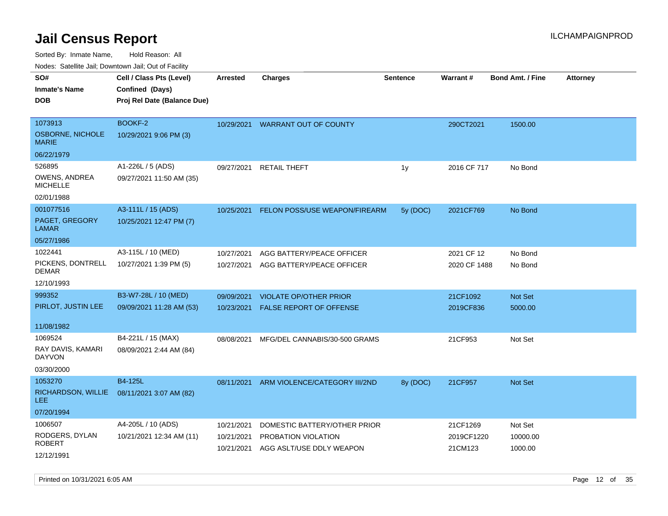Sorted By: Inmate Name, Hold Reason: All

Nodes: Satellite Jail; Downtown Jail; Out of Facility

| rouce. Calcinic Jan, Downtown Jan, Out or Facility |                             |                          |                                                 |                 |                       |                         |                 |
|----------------------------------------------------|-----------------------------|--------------------------|-------------------------------------------------|-----------------|-----------------------|-------------------------|-----------------|
| SO#                                                | Cell / Class Pts (Level)    | <b>Arrested</b>          | <b>Charges</b>                                  | <b>Sentence</b> | Warrant#              | <b>Bond Amt. / Fine</b> | <b>Attorney</b> |
| <b>Inmate's Name</b>                               | Confined (Days)             |                          |                                                 |                 |                       |                         |                 |
| <b>DOB</b>                                         | Proj Rel Date (Balance Due) |                          |                                                 |                 |                       |                         |                 |
|                                                    |                             |                          |                                                 |                 |                       |                         |                 |
| 1073913                                            | BOOKF-2                     |                          | 10/29/2021 WARRANT OUT OF COUNTY                |                 | 290CT2021             | 1500.00                 |                 |
| OSBORNE, NICHOLE<br><b>MARIE</b>                   | 10/29/2021 9:06 PM (3)      |                          |                                                 |                 |                       |                         |                 |
| 06/22/1979                                         |                             |                          |                                                 |                 |                       |                         |                 |
| 526895                                             | A1-226L / 5 (ADS)           | 09/27/2021               | <b>RETAIL THEFT</b>                             | 1y              | 2016 CF 717           | No Bond                 |                 |
| OWENS, ANDREA<br><b>MICHELLE</b>                   | 09/27/2021 11:50 AM (35)    |                          |                                                 |                 |                       |                         |                 |
| 02/01/1988                                         |                             |                          |                                                 |                 |                       |                         |                 |
| 001077516                                          | A3-111L / 15 (ADS)          | 10/25/2021               | FELON POSS/USE WEAPON/FIREARM                   | 5y (DOC)        | 2021CF769             | No Bond                 |                 |
| PAGET, GREGORY<br><b>LAMAR</b>                     | 10/25/2021 12:47 PM (7)     |                          |                                                 |                 |                       |                         |                 |
| 05/27/1986                                         |                             |                          |                                                 |                 |                       |                         |                 |
| 1022441                                            | A3-115L / 10 (MED)          | 10/27/2021               | AGG BATTERY/PEACE OFFICER                       |                 | 2021 CF 12            | No Bond                 |                 |
| PICKENS, DONTRELL<br><b>DEMAR</b>                  | 10/27/2021 1:39 PM (5)      | 10/27/2021               | AGG BATTERY/PEACE OFFICER                       |                 | 2020 CF 1488          | No Bond                 |                 |
| 12/10/1993                                         |                             |                          |                                                 |                 |                       |                         |                 |
| 999352                                             | B3-W7-28L / 10 (MED)        | 09/09/2021               | <b>VIOLATE OP/OTHER PRIOR</b>                   |                 | 21CF1092              | Not Set                 |                 |
| PIRLOT, JUSTIN LEE                                 | 09/09/2021 11:28 AM (53)    | 10/23/2021               | <b>FALSE REPORT OF OFFENSE</b>                  |                 | 2019CF836             | 5000.00                 |                 |
|                                                    |                             |                          |                                                 |                 |                       |                         |                 |
| 11/08/1982                                         |                             |                          |                                                 |                 |                       |                         |                 |
| 1069524                                            | B4-221L / 15 (MAX)          | 08/08/2021               | MFG/DEL CANNABIS/30-500 GRAMS                   |                 | 21CF953               | Not Set                 |                 |
| RAY DAVIS, KAMARI<br><b>DAYVON</b>                 | 08/09/2021 2:44 AM (84)     |                          |                                                 |                 |                       |                         |                 |
| 03/30/2000                                         |                             |                          |                                                 |                 |                       |                         |                 |
| 1053270                                            | B4-125L                     | 08/11/2021               | ARM VIOLENCE/CATEGORY III/2ND                   | 8y (DOC)        | 21CF957               | Not Set                 |                 |
| RICHARDSON, WILLIE<br>LEE.                         | 08/11/2021 3:07 AM (82)     |                          |                                                 |                 |                       |                         |                 |
| 07/20/1994                                         |                             |                          |                                                 |                 |                       |                         |                 |
| 1006507                                            | A4-205L / 10 (ADS)          | 10/21/2021               | DOMESTIC BATTERY/OTHER PRIOR                    |                 | 21CF1269              | Not Set                 |                 |
| RODGERS, DYLAN<br><b>ROBERT</b>                    | 10/21/2021 12:34 AM (11)    | 10/21/2021<br>10/21/2021 | PROBATION VIOLATION<br>AGG ASLT/USE DDLY WEAPON |                 | 2019CF1220<br>21CM123 | 10000.00<br>1000.00     |                 |
| 12/12/1991                                         |                             |                          |                                                 |                 |                       |                         |                 |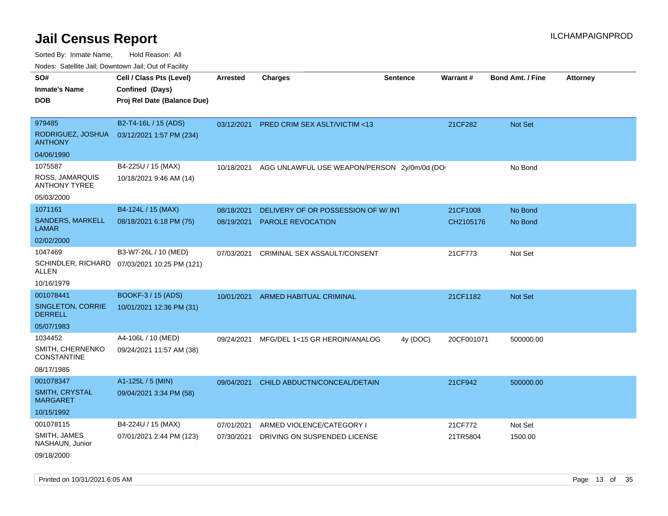| 10000. Catolino can, Dominomii can, Oat or Faoint<br>SO# | Cell / Class Pts (Level)    | <b>Arrested</b> | <b>Charges</b>                              | <b>Sentence</b> | Warrant#   | <b>Bond Amt. / Fine</b> | <b>Attorney</b> |
|----------------------------------------------------------|-----------------------------|-----------------|---------------------------------------------|-----------------|------------|-------------------------|-----------------|
| <b>Inmate's Name</b>                                     | Confined (Days)             |                 |                                             |                 |            |                         |                 |
| <b>DOB</b>                                               | Proj Rel Date (Balance Due) |                 |                                             |                 |            |                         |                 |
|                                                          |                             |                 |                                             |                 |            |                         |                 |
| 979485                                                   | B2-T4-16L / 15 (ADS)        | 03/12/2021      | PRED CRIM SEX ASLT/VICTIM <13               |                 | 21CF282    | Not Set                 |                 |
| RODRIGUEZ, JOSHUA<br><b>ANTHONY</b>                      | 03/12/2021 1:57 PM (234)    |                 |                                             |                 |            |                         |                 |
| 04/06/1990                                               |                             |                 |                                             |                 |            |                         |                 |
| 1075587                                                  | B4-225U / 15 (MAX)          | 10/18/2021      | AGG UNLAWFUL USE WEAPON/PERSON 2y/0m/0d (DO |                 |            | No Bond                 |                 |
| ROSS, JAMARQUIS<br><b>ANTHONY TYREE</b>                  | 10/18/2021 9:46 AM (14)     |                 |                                             |                 |            |                         |                 |
| 05/03/2000                                               |                             |                 |                                             |                 |            |                         |                 |
| 1071161                                                  | B4-124L / 15 (MAX)          | 08/18/2021      | DELIVERY OF OR POSSESSION OF W/ INT         |                 | 21CF1008   | No Bond                 |                 |
| SANDERS, MARKELL<br><b>LAMAR</b>                         | 08/18/2021 6:18 PM (75)     | 08/19/2021      | PAROLE REVOCATION                           |                 | CH2105176  | No Bond                 |                 |
| 02/02/2000                                               |                             |                 |                                             |                 |            |                         |                 |
| 1047469                                                  | B3-W7-26L / 10 (MED)        | 07/03/2021      | CRIMINAL SEX ASSAULT/CONSENT                |                 | 21CF773    | Not Set                 |                 |
| SCHINDLER, RICHARD<br>ALLEN                              | 07/03/2021 10:25 PM (121)   |                 |                                             |                 |            |                         |                 |
| 10/16/1979                                               |                             |                 |                                             |                 |            |                         |                 |
| 001078441                                                | BOOKF-3 / 15 (ADS)          | 10/01/2021      | ARMED HABITUAL CRIMINAL                     |                 | 21CF1182   | Not Set                 |                 |
| <b>SINGLETON, CORRIE</b><br><b>DERRELL</b>               | 10/01/2021 12:36 PM (31)    |                 |                                             |                 |            |                         |                 |
| 05/07/1983                                               |                             |                 |                                             |                 |            |                         |                 |
| 1034452                                                  | A4-106L / 10 (MED)          | 09/24/2021      | MFG/DEL 1<15 GR HEROIN/ANALOG               | 4y (DOC)        | 20CF001071 | 500000.00               |                 |
| SMITH, CHERNENKO<br><b>CONSTANTINE</b>                   | 09/24/2021 11:57 AM (38)    |                 |                                             |                 |            |                         |                 |
| 08/17/1985                                               |                             |                 |                                             |                 |            |                         |                 |
| 001078347                                                | A1-125L / 5 (MIN)           | 09/04/2021      | CHILD ABDUCTN/CONCEAL/DETAIN                |                 | 21CF942    | 500000.00               |                 |
| SMITH, CRYSTAL<br><b>MARGARET</b>                        | 09/04/2021 3:34 PM (58)     |                 |                                             |                 |            |                         |                 |
| 10/15/1992                                               |                             |                 |                                             |                 |            |                         |                 |
| 001078115                                                | B4-224U / 15 (MAX)          | 07/01/2021      | ARMED VIOLENCE/CATEGORY I                   |                 | 21CF772    | Not Set                 |                 |
| SMITH, JAMES<br>NASHAUN, Junior                          | 07/01/2021 2:44 PM (123)    | 07/30/2021      | DRIVING ON SUSPENDED LICENSE                |                 | 21TR5804   | 1500.00                 |                 |
| 09/18/2000                                               |                             |                 |                                             |                 |            |                         |                 |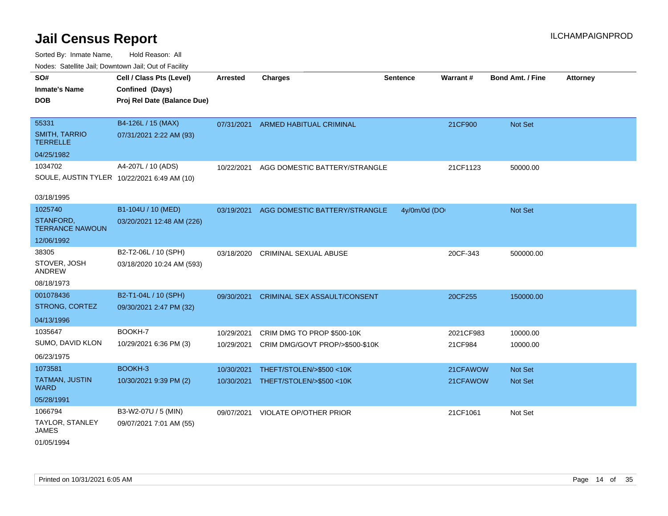Sorted By: Inmate Name, Hold Reason: All Nodes: Satellite Jail; Downtown Jail; Out of Facility

| SO#<br><b>Inmate's Name</b><br><b>DOB</b> | Cell / Class Pts (Level)<br>Confined (Days)<br>Proj Rel Date (Balance Due) | <b>Arrested</b> | <b>Charges</b>                      | <b>Sentence</b> | Warrant#  | <b>Bond Amt. / Fine</b> | <b>Attorney</b> |
|-------------------------------------------|----------------------------------------------------------------------------|-----------------|-------------------------------------|-----------------|-----------|-------------------------|-----------------|
|                                           |                                                                            |                 |                                     |                 |           |                         |                 |
| 55331                                     | B4-126L / 15 (MAX)                                                         | 07/31/2021      | <b>ARMED HABITUAL CRIMINAL</b>      |                 | 21CF900   | Not Set                 |                 |
| <b>SMITH, TARRIO</b><br>TERRELLE          | 07/31/2021 2:22 AM (93)                                                    |                 |                                     |                 |           |                         |                 |
| 04/25/1982                                |                                                                            |                 |                                     |                 |           |                         |                 |
| 1034702                                   | A4-207L / 10 (ADS)                                                         | 10/22/2021      | AGG DOMESTIC BATTERY/STRANGLE       |                 | 21CF1123  | 50000.00                |                 |
|                                           | SOULE, AUSTIN TYLER 10/22/2021 6:49 AM (10)                                |                 |                                     |                 |           |                         |                 |
| 03/18/1995                                |                                                                            |                 |                                     |                 |           |                         |                 |
| 1025740                                   | B1-104U / 10 (MED)                                                         | 03/19/2021      | AGG DOMESTIC BATTERY/STRANGLE       | 4y/0m/0d (DO    |           | Not Set                 |                 |
| STANFORD,<br><b>TERRANCE NAWOUN</b>       | 03/20/2021 12:48 AM (226)                                                  |                 |                                     |                 |           |                         |                 |
| 12/06/1992                                |                                                                            |                 |                                     |                 |           |                         |                 |
| 38305                                     | B2-T2-06L / 10 (SPH)                                                       | 03/18/2020      | <b>CRIMINAL SEXUAL ABUSE</b>        |                 | 20CF-343  | 500000.00               |                 |
| STOVER, JOSH<br><b>ANDREW</b>             | 03/18/2020 10:24 AM (593)                                                  |                 |                                     |                 |           |                         |                 |
| 08/18/1973                                |                                                                            |                 |                                     |                 |           |                         |                 |
| 001078436                                 | B2-T1-04L / 10 (SPH)                                                       | 09/30/2021      | <b>CRIMINAL SEX ASSAULT/CONSENT</b> |                 | 20CF255   | 150000.00               |                 |
| STRONG, CORTEZ                            | 09/30/2021 2:47 PM (32)                                                    |                 |                                     |                 |           |                         |                 |
| 04/13/1996                                |                                                                            |                 |                                     |                 |           |                         |                 |
| 1035647                                   | BOOKH-7                                                                    | 10/29/2021      | CRIM DMG TO PROP \$500-10K          |                 | 2021CF983 | 10000.00                |                 |
| SUMO, DAVID KLON                          | 10/29/2021 6:36 PM (3)                                                     | 10/29/2021      | CRIM DMG/GOVT PROP/>\$500-\$10K     |                 | 21CF984   | 10000.00                |                 |
| 06/23/1975                                |                                                                            |                 |                                     |                 |           |                         |                 |
| 1073581                                   | BOOKH-3                                                                    | 10/30/2021      | THEFT/STOLEN/>\$500 <10K            |                 | 21CFAWOW  | Not Set                 |                 |
| <b>TATMAN, JUSTIN</b><br><b>WARD</b>      | 10/30/2021 9:39 PM (2)                                                     | 10/30/2021      | THEFT/STOLEN/>\$500 <10K            |                 | 21CFAWOW  | <b>Not Set</b>          |                 |
| 05/28/1991                                |                                                                            |                 |                                     |                 |           |                         |                 |
| 1066794                                   | B3-W2-07U / 5 (MIN)                                                        | 09/07/2021      | <b>VIOLATE OP/OTHER PRIOR</b>       |                 | 21CF1061  | Not Set                 |                 |
| <b>TAYLOR, STANLEY</b><br><b>JAMES</b>    | 09/07/2021 7:01 AM (55)                                                    |                 |                                     |                 |           |                         |                 |
|                                           |                                                                            |                 |                                     |                 |           |                         |                 |

01/05/1994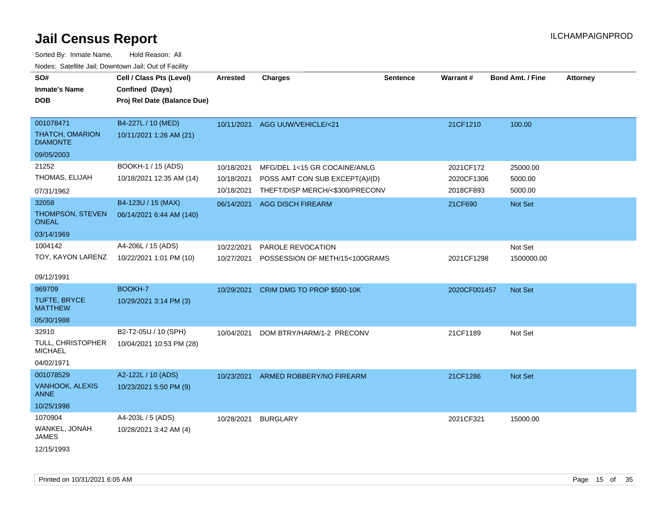| roaco. Calcinio dan, Domntonn dan, Out or Fability |                             |            |                                 |                 |              |                         |                 |
|----------------------------------------------------|-----------------------------|------------|---------------------------------|-----------------|--------------|-------------------------|-----------------|
| SO#                                                | Cell / Class Pts (Level)    | Arrested   | <b>Charges</b>                  | <b>Sentence</b> | Warrant#     | <b>Bond Amt. / Fine</b> | <b>Attorney</b> |
| <b>Inmate's Name</b>                               | Confined (Days)             |            |                                 |                 |              |                         |                 |
| DOB                                                | Proj Rel Date (Balance Due) |            |                                 |                 |              |                         |                 |
|                                                    |                             |            |                                 |                 |              |                         |                 |
| 001078471                                          | B4-227L / 10 (MED)          |            | 10/11/2021 AGG UUW/VEHICLE/<21  |                 | 21CF1210     | 100.00                  |                 |
| THATCH, OMARION<br><b>DIAMONTE</b>                 | 10/11/2021 1:26 AM (21)     |            |                                 |                 |              |                         |                 |
| 09/05/2003                                         |                             |            |                                 |                 |              |                         |                 |
| 21252                                              | BOOKH-1 / 15 (ADS)          | 10/18/2021 | MFG/DEL 1<15 GR COCAINE/ANLG    |                 | 2021CF172    | 25000.00                |                 |
| THOMAS, ELIJAH                                     | 10/18/2021 12:35 AM (14)    | 10/18/2021 | POSS AMT CON SUB EXCEPT(A)/(D)  |                 | 2020CF1306   | 5000.00                 |                 |
| 07/31/1962                                         |                             | 10/18/2021 | THEFT/DISP MERCH/<\$300/PRECONV |                 | 2018CF893    | 5000.00                 |                 |
| 32058                                              | B4-123U / 15 (MAX)          |            | 06/14/2021 AGG DISCH FIREARM    |                 | 21CF690      | Not Set                 |                 |
| THOMPSON, STEVEN<br><b>ONEAL</b>                   | 06/14/2021 6:44 AM (140)    |            |                                 |                 |              |                         |                 |
| 03/14/1969                                         |                             |            |                                 |                 |              |                         |                 |
| 1004142                                            | A4-206L / 15 (ADS)          | 10/22/2021 | PAROLE REVOCATION               |                 |              | Not Set                 |                 |
| TOY, KAYON LARENZ                                  | 10/22/2021 1:01 PM (10)     | 10/27/2021 | POSSESSION OF METH/15<100GRAMS  |                 | 2021CF1298   | 1500000.00              |                 |
|                                                    |                             |            |                                 |                 |              |                         |                 |
| 09/12/1991                                         |                             |            |                                 |                 |              |                         |                 |
| 969709                                             | BOOKH-7                     | 10/29/2021 | CRIM DMG TO PROP \$500-10K      |                 | 2020CF001457 | <b>Not Set</b>          |                 |
| <b>TUFTE, BRYCE</b><br><b>MATTHEW</b>              | 10/29/2021 3:14 PM (3)      |            |                                 |                 |              |                         |                 |
| 05/30/1988                                         |                             |            |                                 |                 |              |                         |                 |
| 32910                                              | B2-T2-05U / 10 (SPH)        | 10/04/2021 | DOM BTRY/HARM/1-2 PRECONV       |                 | 21CF1189     | Not Set                 |                 |
| TULL, CHRISTOPHER<br><b>MICHAEL</b>                | 10/04/2021 10:53 PM (28)    |            |                                 |                 |              |                         |                 |
| 04/02/1971                                         |                             |            |                                 |                 |              |                         |                 |
| 001078529                                          | A2-122L / 10 (ADS)          | 10/23/2021 | ARMED ROBBERY/NO FIREARM        |                 | 21CF1286     | Not Set                 |                 |
| VANHOOK, ALEXIS<br><b>ANNE</b>                     | 10/23/2021 5:50 PM (9)      |            |                                 |                 |              |                         |                 |
| 10/25/1998                                         |                             |            |                                 |                 |              |                         |                 |
| 1070904                                            | A4-203L / 5 (ADS)           | 10/28/2021 | <b>BURGLARY</b>                 |                 | 2021CF321    | 15000.00                |                 |
| WANKEL, JONAH<br>JAMES                             | 10/28/2021 3:42 AM (4)      |            |                                 |                 |              |                         |                 |
| 12/15/1993                                         |                             |            |                                 |                 |              |                         |                 |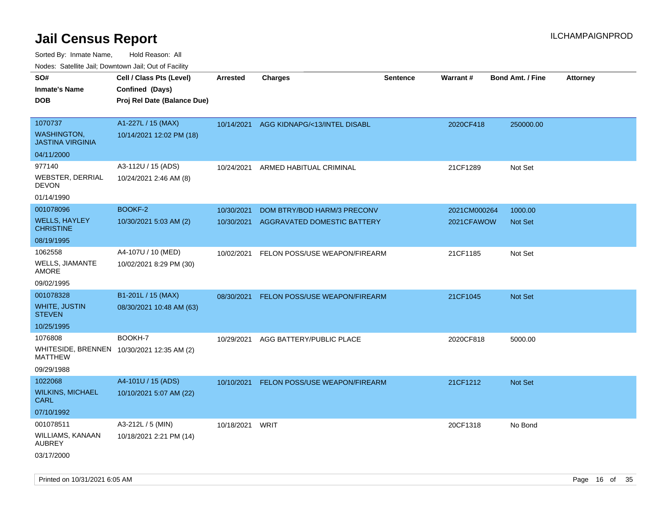| Nudes. Satellite Jali, Downtown Jali, Out of Facility |                                            |                 |                               |                 |              |                         |                 |
|-------------------------------------------------------|--------------------------------------------|-----------------|-------------------------------|-----------------|--------------|-------------------------|-----------------|
| SO#                                                   | Cell / Class Pts (Level)                   | <b>Arrested</b> | <b>Charges</b>                | <b>Sentence</b> | Warrant#     | <b>Bond Amt. / Fine</b> | <b>Attorney</b> |
| Inmate's Name                                         | Confined (Days)                            |                 |                               |                 |              |                         |                 |
| <b>DOB</b>                                            | Proj Rel Date (Balance Due)                |                 |                               |                 |              |                         |                 |
|                                                       |                                            |                 |                               |                 |              |                         |                 |
| 1070737                                               | A1-227L / 15 (MAX)                         | 10/14/2021      | AGG KIDNAPG/<13/INTEL DISABL  |                 | 2020CF418    | 250000.00               |                 |
| <b>WASHINGTON,</b><br><b>JASTINA VIRGINIA</b>         | 10/14/2021 12:02 PM (18)                   |                 |                               |                 |              |                         |                 |
| 04/11/2000                                            |                                            |                 |                               |                 |              |                         |                 |
| 977140                                                | A3-112U / 15 (ADS)                         | 10/24/2021      | ARMED HABITUAL CRIMINAL       |                 | 21CF1289     | Not Set                 |                 |
| WEBSTER, DERRIAL<br>DEVON                             | 10/24/2021 2:46 AM (8)                     |                 |                               |                 |              |                         |                 |
| 01/14/1990                                            |                                            |                 |                               |                 |              |                         |                 |
| 001078096                                             | BOOKF-2                                    | 10/30/2021      | DOM BTRY/BOD HARM/3 PRECONV   |                 | 2021CM000264 | 1000.00                 |                 |
| <b>WELLS, HAYLEY</b><br><b>CHRISTINE</b>              | 10/30/2021 5:03 AM (2)                     | 10/30/2021      | AGGRAVATED DOMESTIC BATTERY   |                 | 2021CFAWOW   | <b>Not Set</b>          |                 |
| 08/19/1995                                            |                                            |                 |                               |                 |              |                         |                 |
| 1062558                                               | A4-107U / 10 (MED)                         | 10/02/2021      | FELON POSS/USE WEAPON/FIREARM |                 | 21CF1185     | Not Set                 |                 |
| WELLS, JIAMANTE<br>AMORE                              | 10/02/2021 8:29 PM (30)                    |                 |                               |                 |              |                         |                 |
| 09/02/1995                                            |                                            |                 |                               |                 |              |                         |                 |
| 001078328                                             | B1-201L / 15 (MAX)                         | 08/30/2021      | FELON POSS/USE WEAPON/FIREARM |                 | 21CF1045     | <b>Not Set</b>          |                 |
| <b>WHITE, JUSTIN</b><br>STEVEN                        | 08/30/2021 10:48 AM (63)                   |                 |                               |                 |              |                         |                 |
| 10/25/1995                                            |                                            |                 |                               |                 |              |                         |                 |
| 1076808                                               | BOOKH-7                                    | 10/29/2021      | AGG BATTERY/PUBLIC PLACE      |                 | 2020CF818    | 5000.00                 |                 |
| MATTHEW                                               | WHITESIDE, BRENNEN 10/30/2021 12:35 AM (2) |                 |                               |                 |              |                         |                 |
| 09/29/1988                                            |                                            |                 |                               |                 |              |                         |                 |
| 1022068                                               | A4-101U / 15 (ADS)                         | 10/10/2021      | FELON POSS/USE WEAPON/FIREARM |                 | 21CF1212     | <b>Not Set</b>          |                 |
| <b>WILKINS, MICHAEL</b><br>CARL                       | 10/10/2021 5:07 AM (22)                    |                 |                               |                 |              |                         |                 |
| 07/10/1992                                            |                                            |                 |                               |                 |              |                         |                 |
| 001078511                                             | A3-212L / 5 (MIN)                          | 10/18/2021      | WRIT                          |                 | 20CF1318     | No Bond                 |                 |
| WILLIAMS, KANAAN<br>AUBREY                            | 10/18/2021 2:21 PM (14)                    |                 |                               |                 |              |                         |                 |
| 03/17/2000                                            |                                            |                 |                               |                 |              |                         |                 |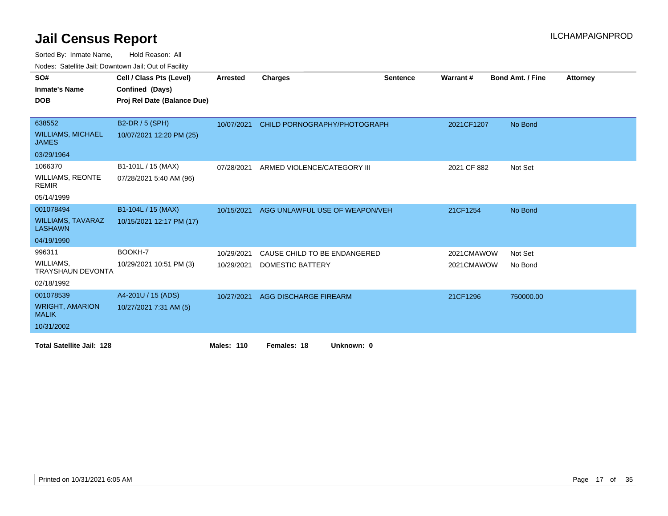| 10000. 001011110 0011, DOMINOMITOOII, OUL OF FOOTING |                             |                   |                                |                 |             |                         |                 |
|------------------------------------------------------|-----------------------------|-------------------|--------------------------------|-----------------|-------------|-------------------------|-----------------|
| SO#                                                  | Cell / Class Pts (Level)    | Arrested          | <b>Charges</b>                 | <b>Sentence</b> | Warrant#    | <b>Bond Amt. / Fine</b> | <b>Attorney</b> |
| <b>Inmate's Name</b>                                 | Confined (Days)             |                   |                                |                 |             |                         |                 |
| <b>DOB</b>                                           | Proj Rel Date (Balance Due) |                   |                                |                 |             |                         |                 |
|                                                      |                             |                   |                                |                 |             |                         |                 |
| 638552                                               | B2-DR / 5 (SPH)             | 10/07/2021        | CHILD PORNOGRAPHY/PHOTOGRAPH   |                 | 2021CF1207  | No Bond                 |                 |
| <b>WILLIAMS, MICHAEL</b><br><b>JAMES</b>             | 10/07/2021 12:20 PM (25)    |                   |                                |                 |             |                         |                 |
| 03/29/1964                                           |                             |                   |                                |                 |             |                         |                 |
| 1066370                                              | B1-101L / 15 (MAX)          | 07/28/2021        | ARMED VIOLENCE/CATEGORY III    |                 | 2021 CF 882 | Not Set                 |                 |
| <b>WILLIAMS, REONTE</b><br><b>REMIR</b>              | 07/28/2021 5:40 AM (96)     |                   |                                |                 |             |                         |                 |
| 05/14/1999                                           |                             |                   |                                |                 |             |                         |                 |
| 001078494                                            | B1-104L / 15 (MAX)          | 10/15/2021        | AGG UNLAWFUL USE OF WEAPON/VEH |                 | 21CF1254    | No Bond                 |                 |
| <b>WILLIAMS, TAVARAZ</b><br><b>LASHAWN</b>           | 10/15/2021 12:17 PM (17)    |                   |                                |                 |             |                         |                 |
| 04/19/1990                                           |                             |                   |                                |                 |             |                         |                 |
| 996311                                               | BOOKH-7                     | 10/29/2021        | CAUSE CHILD TO BE ENDANGERED   |                 | 2021CMAWOW  | Not Set                 |                 |
| WILLIAMS,<br><b>TRAYSHAUN DEVONTA</b>                | 10/29/2021 10:51 PM (3)     | 10/29/2021        | <b>DOMESTIC BATTERY</b>        |                 | 2021CMAWOW  | No Bond                 |                 |
| 02/18/1992                                           |                             |                   |                                |                 |             |                         |                 |
| 001078539                                            | A4-201U / 15 (ADS)          | 10/27/2021        | AGG DISCHARGE FIREARM          |                 | 21CF1296    | 750000.00               |                 |
| <b>WRIGHT, AMARION</b><br><b>MALIK</b>               | 10/27/2021 7:31 AM (5)      |                   |                                |                 |             |                         |                 |
| 10/31/2002                                           |                             |                   |                                |                 |             |                         |                 |
| <b>Total Satellite Jail: 128</b>                     |                             | <b>Males: 110</b> | Unknown: 0<br>Females: 18      |                 |             |                         |                 |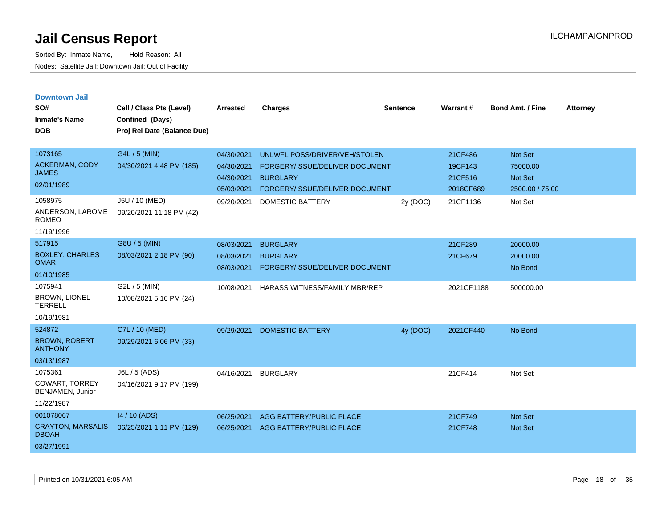Sorted By: Inmate Name, Hold Reason: All Nodes: Satellite Jail; Downtown Jail; Out of Facility

| <b>Downtown Jail</b><br>SO#<br><b>Inmate's Name</b><br><b>DOB</b>  | Cell / Class Pts (Level)<br>Confined (Days)<br>Proj Rel Date (Balance Due) | <b>Arrested</b>                                      | <b>Charges</b>                                                                                                       | <b>Sentence</b> | Warrant#                                   | <b>Bond Amt. / Fine</b>                           | <b>Attorney</b> |
|--------------------------------------------------------------------|----------------------------------------------------------------------------|------------------------------------------------------|----------------------------------------------------------------------------------------------------------------------|-----------------|--------------------------------------------|---------------------------------------------------|-----------------|
| 1073165<br><b>ACKERMAN, CODY</b><br><b>JAMES</b><br>02/01/1989     | G4L / 5 (MIN)<br>04/30/2021 4:48 PM (185)                                  | 04/30/2021<br>04/30/2021<br>04/30/2021<br>05/03/2021 | UNLWFL POSS/DRIVER/VEH/STOLEN<br>FORGERY/ISSUE/DELIVER DOCUMENT<br><b>BURGLARY</b><br>FORGERY/ISSUE/DELIVER DOCUMENT |                 | 21CF486<br>19CF143<br>21CF516<br>2018CF689 | Not Set<br>75000.00<br>Not Set<br>2500.00 / 75.00 |                 |
| 1058975<br>ANDERSON, LAROME<br><b>ROMEO</b><br>11/19/1996          | J5U / 10 (MED)<br>09/20/2021 11:18 PM (42)                                 | 09/20/2021                                           | DOMESTIC BATTERY                                                                                                     | 2y (DOC)        | 21CF1136                                   | Not Set                                           |                 |
| 517915<br><b>BOXLEY, CHARLES</b><br><b>OMAR</b><br>01/10/1985      | G8U / 5 (MIN)<br>08/03/2021 2:18 PM (90)                                   | 08/03/2021<br>08/03/2021<br>08/03/2021               | <b>BURGLARY</b><br><b>BURGLARY</b><br>FORGERY/ISSUE/DELIVER DOCUMENT                                                 |                 | 21CF289<br>21CF679                         | 20000.00<br>20000.00<br>No Bond                   |                 |
| 1075941<br><b>BROWN, LIONEL</b><br><b>TERRELL</b><br>10/19/1981    | G2L / 5 (MIN)<br>10/08/2021 5:16 PM (24)                                   | 10/08/2021                                           | HARASS WITNESS/FAMILY MBR/REP                                                                                        |                 | 2021CF1188                                 | 500000.00                                         |                 |
| 524872<br><b>BROWN, ROBERT</b><br><b>ANTHONY</b><br>03/13/1987     | C7L / 10 (MED)<br>09/29/2021 6:06 PM (33)                                  | 09/29/2021                                           | <b>DOMESTIC BATTERY</b>                                                                                              | 4y (DOC)        | 2021CF440                                  | No Bond                                           |                 |
| 1075361<br><b>COWART, TORREY</b><br>BENJAMEN, Junior<br>11/22/1987 | J6L / 5 (ADS)<br>04/16/2021 9:17 PM (199)                                  | 04/16/2021                                           | <b>BURGLARY</b>                                                                                                      |                 | 21CF414                                    | Not Set                                           |                 |
| 001078067<br><b>CRAYTON, MARSALIS</b>                              | 14 / 10 (ADS)<br>06/25/2021 1:11 PM (129)                                  | 06/25/2021<br>06/25/2021                             | AGG BATTERY/PUBLIC PLACE<br>AGG BATTERY/PUBLIC PLACE                                                                 |                 | 21CF749<br>21CF748                         | <b>Not Set</b><br><b>Not Set</b>                  |                 |

DBOAH 03/27/1991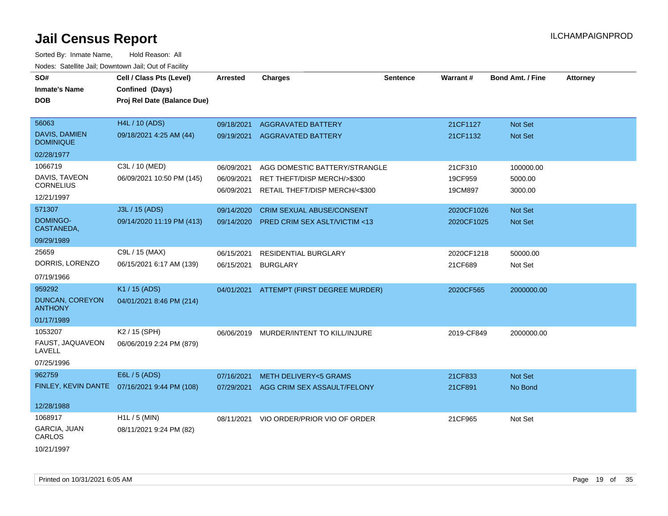| SO#<br><b>Inmate's Name</b><br><b>DOB</b> | Cell / Class Pts (Level)<br>Confined (Days)<br>Proj Rel Date (Balance Due) | <b>Arrested</b> | <b>Charges</b>                   | <b>Sentence</b> | Warrant#   | <b>Bond Amt. / Fine</b> | <b>Attorney</b> |
|-------------------------------------------|----------------------------------------------------------------------------|-----------------|----------------------------------|-----------------|------------|-------------------------|-----------------|
| 56063                                     | <b>H4L / 10 (ADS)</b>                                                      | 09/18/2021      | <b>AGGRAVATED BATTERY</b>        |                 | 21CF1127   | Not Set                 |                 |
| DAVIS, DAMIEN<br><b>DOMINIQUE</b>         | 09/18/2021 4:25 AM (44)                                                    | 09/19/2021      | <b>AGGRAVATED BATTERY</b>        |                 | 21CF1132   | Not Set                 |                 |
| 02/28/1977                                |                                                                            |                 |                                  |                 |            |                         |                 |
| 1066719                                   | C3L / 10 (MED)                                                             | 06/09/2021      | AGG DOMESTIC BATTERY/STRANGLE    |                 | 21CF310    | 100000.00               |                 |
| DAVIS, TAVEON<br><b>CORNELIUS</b>         | 06/09/2021 10:50 PM (145)                                                  | 06/09/2021      | RET THEFT/DISP MERCH/>\$300      |                 | 19CF959    | 5000.00                 |                 |
| 12/21/1997                                |                                                                            | 06/09/2021      | RETAIL THEFT/DISP MERCH/<\$300   |                 | 19CM897    | 3000.00                 |                 |
| 571307                                    | J3L / 15 (ADS)                                                             | 09/14/2020      | <b>CRIM SEXUAL ABUSE/CONSENT</b> |                 | 2020CF1026 | <b>Not Set</b>          |                 |
| DOMINGO-<br>CASTANEDA,                    | 09/14/2020 11:19 PM (413)                                                  | 09/14/2020      | PRED CRIM SEX ASLT/VICTIM <13    |                 | 2020CF1025 | Not Set                 |                 |
| 09/29/1989                                |                                                                            |                 |                                  |                 |            |                         |                 |
| 25659                                     | C9L / 15 (MAX)                                                             | 06/15/2021      | <b>RESIDENTIAL BURGLARY</b>      |                 | 2020CF1218 | 50000.00                |                 |
| DORRIS, LORENZO                           | 06/15/2021 6:17 AM (139)                                                   | 06/15/2021      | <b>BURGLARY</b>                  |                 | 21CF689    | Not Set                 |                 |
| 07/19/1966                                |                                                                            |                 |                                  |                 |            |                         |                 |
| 959292                                    | K1 / 15 (ADS)                                                              | 04/01/2021      | ATTEMPT (FIRST DEGREE MURDER)    |                 | 2020CF565  | 2000000.00              |                 |
| <b>DUNCAN, COREYON</b><br><b>ANTHONY</b>  | 04/01/2021 8:46 PM (214)                                                   |                 |                                  |                 |            |                         |                 |
| 01/17/1989                                |                                                                            |                 |                                  |                 |            |                         |                 |
| 1053207                                   | K <sub>2</sub> / 15 (SPH)                                                  | 06/06/2019      | MURDER/INTENT TO KILL/INJURE     |                 | 2019-CF849 | 2000000.00              |                 |
| FAUST, JAQUAVEON<br>LAVELL                | 06/06/2019 2:24 PM (879)                                                   |                 |                                  |                 |            |                         |                 |
| 07/25/1996                                |                                                                            |                 |                                  |                 |            |                         |                 |
| 962759                                    | E6L / 5 (ADS)                                                              | 07/16/2021      | <b>METH DELIVERY&lt;5 GRAMS</b>  |                 | 21CF833    | Not Set                 |                 |
|                                           | FINLEY, KEVIN DANTE 07/16/2021 9:44 PM (108)                               | 07/29/2021      | AGG CRIM SEX ASSAULT/FELONY      |                 | 21CF891    | No Bond                 |                 |
| 12/28/1988                                |                                                                            |                 |                                  |                 |            |                         |                 |
| 1068917                                   | $H1L / 5$ (MIN)                                                            | 08/11/2021      | VIO ORDER/PRIOR VIO OF ORDER     |                 | 21CF965    | Not Set                 |                 |
| GARCIA, JUAN<br>CARLOS                    | 08/11/2021 9:24 PM (82)                                                    |                 |                                  |                 |            |                         |                 |
| 10/21/1997                                |                                                                            |                 |                                  |                 |            |                         |                 |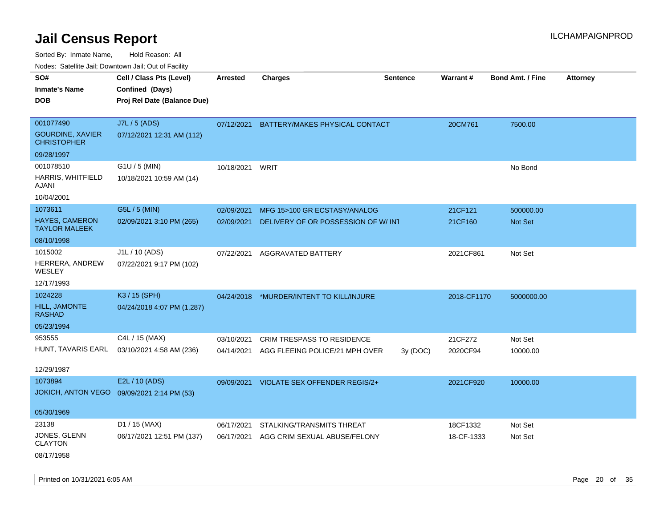Sorted By: Inmate Name, Hold Reason: All

Nodes: Satellite Jail; Downtown Jail; Out of Facility

| SO#<br><b>Inmate's Name</b><br><b>DOB</b>     | Cell / Class Pts (Level)<br>Confined (Days)<br>Proj Rel Date (Balance Due) | <b>Arrested</b> | <b>Charges</b>                       | <b>Sentence</b> | Warrant#    | <b>Bond Amt. / Fine</b> | <b>Attorney</b> |
|-----------------------------------------------|----------------------------------------------------------------------------|-----------------|--------------------------------------|-----------------|-------------|-------------------------|-----------------|
|                                               |                                                                            |                 |                                      |                 |             |                         |                 |
| 001077490                                     | J7L / 5 (ADS)                                                              | 07/12/2021      | BATTERY/MAKES PHYSICAL CONTACT       |                 | 20CM761     | 7500.00                 |                 |
| <b>GOURDINE, XAVIER</b><br><b>CHRISTOPHER</b> | 07/12/2021 12:31 AM (112)                                                  |                 |                                      |                 |             |                         |                 |
| 09/28/1997                                    |                                                                            |                 |                                      |                 |             |                         |                 |
| 001078510                                     | G1U / 5 (MIN)                                                              | 10/18/2021      | WRIT                                 |                 |             | No Bond                 |                 |
| HARRIS, WHITFIELD<br>AJANI                    | 10/18/2021 10:59 AM (14)                                                   |                 |                                      |                 |             |                         |                 |
| 10/04/2001                                    |                                                                            |                 |                                      |                 |             |                         |                 |
| 1073611                                       | G5L / 5 (MIN)                                                              | 02/09/2021      | MFG 15>100 GR ECSTASY/ANALOG         |                 | 21CF121     | 500000.00               |                 |
| <b>HAYES, CAMERON</b><br><b>TAYLOR MALEEK</b> | 02/09/2021 3:10 PM (265)                                                   | 02/09/2021      | DELIVERY OF OR POSSESSION OF W/INT   |                 | 21CF160     | <b>Not Set</b>          |                 |
| 08/10/1998                                    |                                                                            |                 |                                      |                 |             |                         |                 |
| 1015002                                       | J1L / 10 (ADS)                                                             | 07/22/2021      | AGGRAVATED BATTERY                   |                 | 2021CF861   | Not Set                 |                 |
| HERRERA, ANDREW<br>WESLEY                     | 07/22/2021 9:17 PM (102)                                                   |                 |                                      |                 |             |                         |                 |
| 12/17/1993                                    |                                                                            |                 |                                      |                 |             |                         |                 |
| 1024228                                       | K3 / 15 (SPH)                                                              | 04/24/2018      | *MURDER/INTENT TO KILL/INJURE        |                 | 2018-CF1170 | 5000000.00              |                 |
| <b>HILL, JAMONTE</b><br><b>RASHAD</b>         | 04/24/2018 4:07 PM (1,287)                                                 |                 |                                      |                 |             |                         |                 |
| 05/23/1994                                    |                                                                            |                 |                                      |                 |             |                         |                 |
| 953555                                        | C4L / 15 (MAX)                                                             | 03/10/2021      | <b>CRIM TRESPASS TO RESIDENCE</b>    |                 | 21CF272     | Not Set                 |                 |
| HUNT, TAVARIS EARL                            | 03/10/2021 4:58 AM (236)                                                   | 04/14/2021      | AGG FLEEING POLICE/21 MPH OVER       | 3y(DOC)         | 2020CF94    | 10000.00                |                 |
| 12/29/1987                                    |                                                                            |                 |                                      |                 |             |                         |                 |
| 1073894                                       | E2L / 10 (ADS)                                                             | 09/09/2021      | <b>VIOLATE SEX OFFENDER REGIS/2+</b> |                 | 2021CF920   | 10000.00                |                 |
| <b>JOKICH, ANTON VEGO</b>                     | 09/09/2021 2:14 PM (53)                                                    |                 |                                      |                 |             |                         |                 |
| 05/30/1969                                    |                                                                            |                 |                                      |                 |             |                         |                 |
| 23138                                         | D1 / 15 (MAX)                                                              | 06/17/2021      | STALKING/TRANSMITS THREAT            |                 | 18CF1332    | Not Set                 |                 |
| JONES, GLENN<br><b>CLAYTON</b>                | 06/17/2021 12:51 PM (137)                                                  | 06/17/2021      | AGG CRIM SEXUAL ABUSE/FELONY         |                 | 18-CF-1333  | Not Set                 |                 |
| 08/17/1958                                    |                                                                            |                 |                                      |                 |             |                         |                 |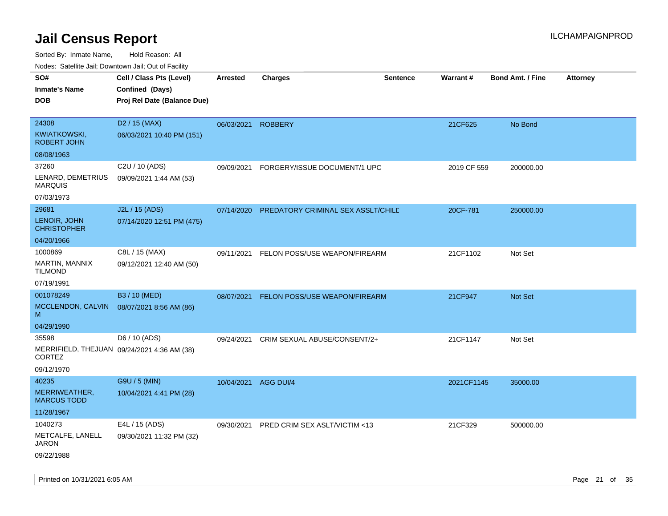| <b>Nouro:</b> Catoline Jan, Downtown Jan, Out of Fability                    |                                                                            |            |                                    |                 |             |                         |                 |
|------------------------------------------------------------------------------|----------------------------------------------------------------------------|------------|------------------------------------|-----------------|-------------|-------------------------|-----------------|
| SO#<br><b>Inmate's Name</b><br><b>DOB</b>                                    | Cell / Class Pts (Level)<br>Confined (Days)<br>Proj Rel Date (Balance Due) | Arrested   | <b>Charges</b>                     | <b>Sentence</b> | Warrant#    | <b>Bond Amt. / Fine</b> | <b>Attorney</b> |
| 24308<br>KWIATKOWSKI,<br><b>ROBERT JOHN</b>                                  | D <sub>2</sub> / 15 (MAX)<br>06/03/2021 10:40 PM (151)                     | 06/03/2021 | <b>ROBBERY</b>                     |                 | 21CF625     | No Bond                 |                 |
| 08/08/1963                                                                   |                                                                            |            |                                    |                 |             |                         |                 |
| 37260<br>LENARD, DEMETRIUS<br><b>MARQUIS</b><br>07/03/1973                   | C2U / 10 (ADS)<br>09/09/2021 1:44 AM (53)                                  | 09/09/2021 | FORGERY/ISSUE DOCUMENT/1 UPC       |                 | 2019 CF 559 | 200000.00               |                 |
|                                                                              |                                                                            |            |                                    |                 |             |                         |                 |
| 29681<br>LENOIR, JOHN<br><b>CHRISTOPHER</b>                                  | J2L / 15 (ADS)<br>07/14/2020 12:51 PM (475)                                | 07/14/2020 | PREDATORY CRIMINAL SEX ASSLT/CHILD |                 | 20CF-781    | 250000.00               |                 |
| 04/20/1966                                                                   |                                                                            |            |                                    |                 |             |                         |                 |
| 1000869<br>MARTIN, MANNIX<br><b>TILMOND</b>                                  | C8L / 15 (MAX)<br>09/12/2021 12:40 AM (50)                                 | 09/11/2021 | FELON POSS/USE WEAPON/FIREARM      |                 | 21CF1102    | Not Set                 |                 |
| 07/19/1991                                                                   |                                                                            |            |                                    |                 |             |                         |                 |
| 001078249<br>MCCLENDON, CALVIN<br>M                                          | B3 / 10 (MED)<br>08/07/2021 8:56 AM (86)                                   | 08/07/2021 | FELON POSS/USE WEAPON/FIREARM      |                 | 21CF947     | Not Set                 |                 |
| 04/29/1990                                                                   |                                                                            |            |                                    |                 |             |                         |                 |
| 35598<br>MERRIFIELD, THEJUAN 09/24/2021 4:36 AM (38)<br>CORTEZ<br>09/12/1970 | D6 / 10 (ADS)                                                              | 09/24/2021 | CRIM SEXUAL ABUSE/CONSENT/2+       |                 | 21CF1147    | Not Set                 |                 |
| 40235                                                                        | G9U / 5 (MIN)                                                              | 10/04/2021 | AGG DUI/4                          |                 | 2021CF1145  | 35000.00                |                 |
| MERRIWEATHER,<br><b>MARCUS TODD</b>                                          | 10/04/2021 4:41 PM (28)                                                    |            |                                    |                 |             |                         |                 |
| 11/28/1967                                                                   |                                                                            |            |                                    |                 |             |                         |                 |
| 1040273                                                                      | E4L / 15 (ADS)                                                             | 09/30/2021 | PRED CRIM SEX ASLT/VICTIM <13      |                 | 21CF329     | 500000.00               |                 |
| METCALFE, LANELL<br><b>JARON</b><br>09/22/1988                               | 09/30/2021 11:32 PM (32)                                                   |            |                                    |                 |             |                         |                 |
|                                                                              |                                                                            |            |                                    |                 |             |                         |                 |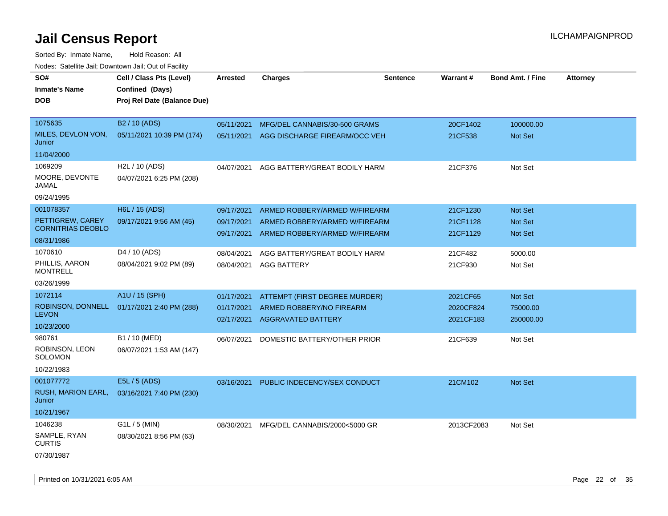| SO#                               | Cell / Class Pts (Level)    | Arrested   | <b>Charges</b>                           | Sentence | Warrant#   | <b>Bond Amt. / Fine</b> | <b>Attorney</b> |
|-----------------------------------|-----------------------------|------------|------------------------------------------|----------|------------|-------------------------|-----------------|
| <b>Inmate's Name</b>              | Confined (Days)             |            |                                          |          |            |                         |                 |
| <b>DOB</b>                        | Proj Rel Date (Balance Due) |            |                                          |          |            |                         |                 |
|                                   |                             |            |                                          |          |            |                         |                 |
| 1075635                           | B2 / 10 (ADS)               | 05/11/2021 | MFG/DEL CANNABIS/30-500 GRAMS            |          | 20CF1402   | 100000.00               |                 |
| MILES, DEVLON VON,<br>Junior      | 05/11/2021 10:39 PM (174)   |            | 05/11/2021 AGG DISCHARGE FIREARM/OCC VEH |          | 21CF538    | Not Set                 |                 |
| 11/04/2000                        |                             |            |                                          |          |            |                         |                 |
| 1069209                           | H2L / 10 (ADS)              | 04/07/2021 | AGG BATTERY/GREAT BODILY HARM            |          | 21CF376    | Not Set                 |                 |
| MOORE, DEVONTE<br>JAMAL           | 04/07/2021 6:25 PM (208)    |            |                                          |          |            |                         |                 |
| 09/24/1995                        |                             |            |                                          |          |            |                         |                 |
| 001078357                         | H6L / 15 (ADS)              | 09/17/2021 | ARMED ROBBERY/ARMED W/FIREARM            |          | 21CF1230   | <b>Not Set</b>          |                 |
| PETTIGREW, CAREY                  | 09/17/2021 9:56 AM (45)     | 09/17/2021 | ARMED ROBBERY/ARMED W/FIREARM            |          | 21CF1128   | Not Set                 |                 |
| <b>CORNITRIAS DEOBLO</b>          |                             | 09/17/2021 | ARMED ROBBERY/ARMED W/FIREARM            |          | 21CF1129   | <b>Not Set</b>          |                 |
| 08/31/1986                        |                             |            |                                          |          |            |                         |                 |
| 1070610                           | D <sub>4</sub> / 10 (ADS)   | 08/04/2021 | AGG BATTERY/GREAT BODILY HARM            |          | 21CF482    | 5000.00                 |                 |
| PHILLIS, AARON<br><b>MONTRELL</b> | 08/04/2021 9:02 PM (89)     | 08/04/2021 | <b>AGG BATTERY</b>                       |          | 21CF930    | Not Set                 |                 |
| 03/26/1999                        |                             |            |                                          |          |            |                         |                 |
| 1072114                           | A1U / 15 (SPH)              | 01/17/2021 | ATTEMPT (FIRST DEGREE MURDER)            |          | 2021CF65   | Not Set                 |                 |
| ROBINSON, DONNELL<br><b>LEVON</b> | 01/17/2021 2:40 PM (288)    | 01/17/2021 | ARMED ROBBERY/NO FIREARM                 |          | 2020CF824  | 75000.00                |                 |
| 10/23/2000                        |                             | 02/17/2021 | <b>AGGRAVATED BATTERY</b>                |          | 2021CF183  | 250000.00               |                 |
| 980761                            | B1 / 10 (MED)               | 06/07/2021 |                                          |          |            |                         |                 |
| ROBINSON, LEON                    | 06/07/2021 1:53 AM (147)    |            | DOMESTIC BATTERY/OTHER PRIOR             |          | 21CF639    | Not Set                 |                 |
| <b>SOLOMON</b>                    |                             |            |                                          |          |            |                         |                 |
| 10/22/1983                        |                             |            |                                          |          |            |                         |                 |
| 001077772                         | E5L / 5 (ADS)               | 03/16/2021 | PUBLIC INDECENCY/SEX CONDUCT             |          | 21CM102    | Not Set                 |                 |
| RUSH, MARION EARL,<br>Junior      | 03/16/2021 7:40 PM (230)    |            |                                          |          |            |                         |                 |
| 10/21/1967                        |                             |            |                                          |          |            |                         |                 |
| 1046238                           | $G1L / 5$ (MIN)             |            | 08/30/2021 MFG/DEL CANNABIS/2000<5000 GR |          | 2013CF2083 | Not Set                 |                 |
| SAMPLE, RYAN<br><b>CURTIS</b>     | 08/30/2021 8:56 PM (63)     |            |                                          |          |            |                         |                 |
| 07/30/1987                        |                             |            |                                          |          |            |                         |                 |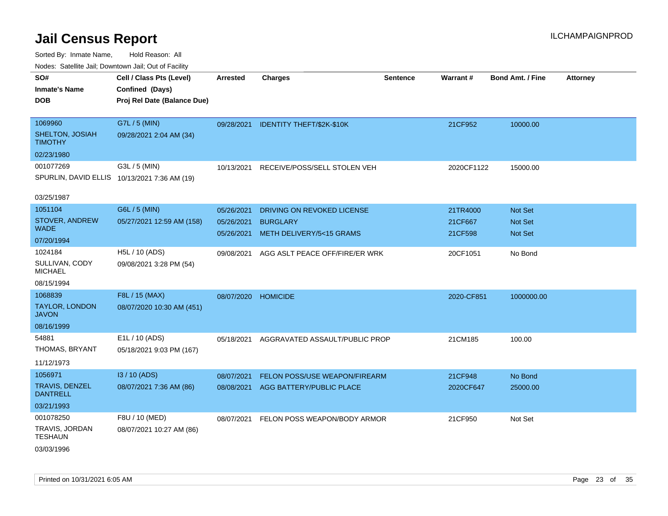| Nudes. Satellite Jali, Downtown Jali, Out of Facility |                                              |                 |                                      |                 |            |                         |                 |
|-------------------------------------------------------|----------------------------------------------|-----------------|--------------------------------------|-----------------|------------|-------------------------|-----------------|
| SO#                                                   | Cell / Class Pts (Level)                     | <b>Arrested</b> | <b>Charges</b>                       | <b>Sentence</b> | Warrant#   | <b>Bond Amt. / Fine</b> | <b>Attorney</b> |
| <b>Inmate's Name</b>                                  | Confined (Days)                              |                 |                                      |                 |            |                         |                 |
| DOB                                                   | Proj Rel Date (Balance Due)                  |                 |                                      |                 |            |                         |                 |
|                                                       |                                              |                 |                                      |                 |            |                         |                 |
| 1069960                                               | G7L / 5 (MIN)                                |                 | 09/28/2021 IDENTITY THEFT/\$2K-\$10K |                 | 21CF952    | 10000.00                |                 |
| SHELTON, JOSIAH<br>TIMOTHY                            | 09/28/2021 2:04 AM (34)                      |                 |                                      |                 |            |                         |                 |
| 02/23/1980                                            |                                              |                 |                                      |                 |            |                         |                 |
| 001077269                                             | G3L / 5 (MIN)                                | 10/13/2021      | RECEIVE/POSS/SELL STOLEN VEH         |                 | 2020CF1122 | 15000.00                |                 |
|                                                       | SPURLIN, DAVID ELLIS 10/13/2021 7:36 AM (19) |                 |                                      |                 |            |                         |                 |
| 03/25/1987                                            |                                              |                 |                                      |                 |            |                         |                 |
| 1051104                                               | G6L / 5 (MIN)                                |                 |                                      |                 |            |                         |                 |
| STOVER, ANDREW                                        |                                              | 05/26/2021      | DRIVING ON REVOKED LICENSE           |                 | 21TR4000   | <b>Not Set</b>          |                 |
| WADE                                                  | 05/27/2021 12:59 AM (158)                    | 05/26/2021      | <b>BURGLARY</b>                      |                 | 21CF667    | <b>Not Set</b>          |                 |
| 07/20/1994                                            |                                              | 05/26/2021      | METH DELIVERY/5<15 GRAMS             |                 | 21CF598    | <b>Not Set</b>          |                 |
| 1024184                                               | H5L / 10 (ADS)                               | 09/08/2021      | AGG ASLT PEACE OFF/FIRE/ER WRK       |                 | 20CF1051   | No Bond                 |                 |
| SULLIVAN, CODY<br>MICHAEL                             | 09/08/2021 3:28 PM (54)                      |                 |                                      |                 |            |                         |                 |
| 08/15/1994                                            |                                              |                 |                                      |                 |            |                         |                 |
| 1068839                                               | F8L / 15 (MAX)                               | 08/07/2020      | <b>HOMICIDE</b>                      |                 | 2020-CF851 | 1000000.00              |                 |
| TAYLOR, LONDON<br>JAVON                               | 08/07/2020 10:30 AM (451)                    |                 |                                      |                 |            |                         |                 |
| 08/16/1999                                            |                                              |                 |                                      |                 |            |                         |                 |
| 54881                                                 | E1L / 10 (ADS)                               | 05/18/2021      | AGGRAVATED ASSAULT/PUBLIC PROP       |                 | 21CM185    | 100.00                  |                 |
| THOMAS, BRYANT                                        | 05/18/2021 9:03 PM (167)                     |                 |                                      |                 |            |                         |                 |
| 11/12/1973                                            |                                              |                 |                                      |                 |            |                         |                 |
| 1056971                                               | I3 / 10 (ADS)                                | 08/07/2021      | FELON POSS/USE WEAPON/FIREARM        |                 | 21CF948    | No Bond                 |                 |
| TRAVIS, DENZEL<br><b>DANTRELL</b>                     | 08/07/2021 7:36 AM (86)                      |                 | 08/08/2021 AGG BATTERY/PUBLIC PLACE  |                 | 2020CF647  | 25000.00                |                 |
| 03/21/1993                                            |                                              |                 |                                      |                 |            |                         |                 |
| 001078250                                             | F8U / 10 (MED)                               | 08/07/2021      | FELON POSS WEAPON/BODY ARMOR         |                 | 21CF950    | Not Set                 |                 |
| TRAVIS, JORDAN<br>TESHAUN                             | 08/07/2021 10:27 AM (86)                     |                 |                                      |                 |            |                         |                 |
| 03/03/1996                                            |                                              |                 |                                      |                 |            |                         |                 |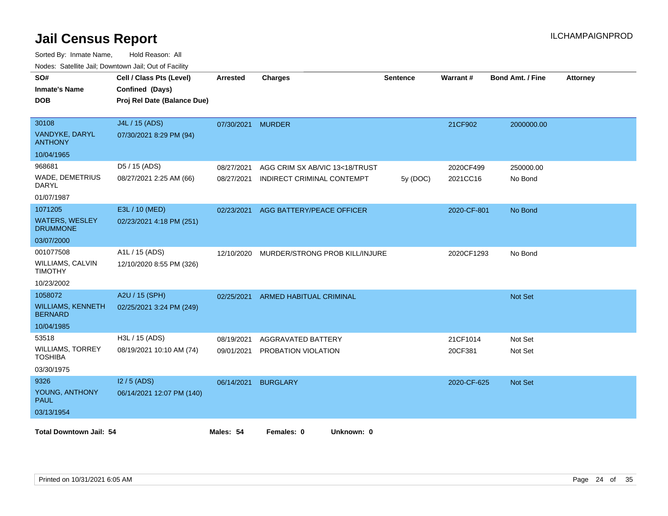| Confined (Days)<br>Proj Rel Date (Balance Due)<br>J4L / 15 (ADS)<br>07/30/2021 8:29 PM (94)<br>D5 / 15 (ADS) | 07/30/2021 MURDER |                                |                           | 21CF902                                                    | 2000000.00 |                                          |
|--------------------------------------------------------------------------------------------------------------|-------------------|--------------------------------|---------------------------|------------------------------------------------------------|------------|------------------------------------------|
|                                                                                                              |                   |                                |                           |                                                            |            |                                          |
|                                                                                                              |                   |                                |                           |                                                            |            |                                          |
|                                                                                                              |                   |                                |                           |                                                            |            |                                          |
|                                                                                                              |                   |                                |                           |                                                            |            |                                          |
|                                                                                                              |                   |                                |                           |                                                            |            |                                          |
|                                                                                                              |                   |                                |                           |                                                            |            |                                          |
|                                                                                                              | 08/27/2021        | AGG CRIM SX AB/VIC 13<18/TRUST |                           | 2020CF499                                                  | 250000.00  |                                          |
| 08/27/2021 2:25 AM (66)                                                                                      | 08/27/2021        | INDIRECT CRIMINAL CONTEMPT     | 5y(DOC)                   | 2021CC16                                                   | No Bond    |                                          |
|                                                                                                              |                   |                                |                           |                                                            |            |                                          |
| E3L / 10 (MED)                                                                                               | 02/23/2021        |                                |                           |                                                            | No Bond    |                                          |
| 02/23/2021 4:18 PM (251)                                                                                     |                   |                                |                           |                                                            |            |                                          |
|                                                                                                              |                   |                                |                           |                                                            |            |                                          |
| A1L / 15 (ADS)                                                                                               | 12/10/2020        |                                |                           |                                                            | No Bond    |                                          |
| 12/10/2020 8:55 PM (326)                                                                                     |                   |                                |                           |                                                            |            |                                          |
|                                                                                                              |                   |                                |                           |                                                            |            |                                          |
| A2U / 15 (SPH)                                                                                               | 02/25/2021        | <b>ARMED HABITUAL CRIMINAL</b> |                           |                                                            | Not Set    |                                          |
| 02/25/2021 3:24 PM (249)                                                                                     |                   |                                |                           |                                                            |            |                                          |
|                                                                                                              |                   |                                |                           |                                                            |            |                                          |
| H3L / 15 (ADS)                                                                                               | 08/19/2021        | AGGRAVATED BATTERY             |                           | 21CF1014                                                   | Not Set    |                                          |
| 08/19/2021 10:10 AM (74)                                                                                     | 09/01/2021        | PROBATION VIOLATION            |                           | 20CF381                                                    | Not Set    |                                          |
|                                                                                                              |                   |                                |                           |                                                            |            |                                          |
| $12/5$ (ADS)                                                                                                 | 06/14/2021        | <b>BURGLARY</b>                |                           |                                                            | Not Set    |                                          |
| 06/14/2021 12:07 PM (140)                                                                                    |                   |                                |                           |                                                            |            |                                          |
|                                                                                                              |                   |                                |                           |                                                            |            |                                          |
| <b>Total Downtown Jail: 54</b>                                                                               |                   |                                |                           |                                                            |            |                                          |
|                                                                                                              |                   | Males: 54                      | AGG BATTERY/PEACE OFFICER | MURDER/STRONG PROB KILL/INJURE<br>Unknown: 0<br>Females: 0 |            | 2020-CF-801<br>2020CF1293<br>2020-CF-625 |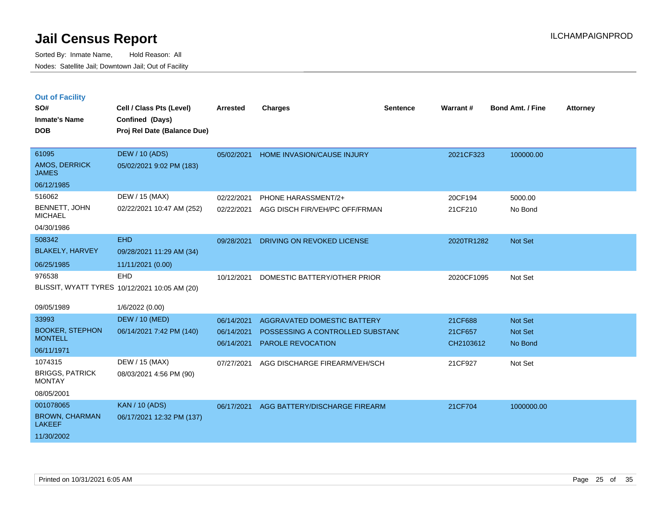|  | <b>Out of Facility</b> |  |
|--|------------------------|--|

| SO#<br><b>Inmate's Name</b><br><b>DOB</b>                         | Cell / Class Pts (Level)<br>Confined (Days)<br>Proj Rel Date (Balance Due)     | Arrested                               | <b>Charges</b>                                                                              | <b>Sentence</b> | Warrant#                        | <b>Bond Amt. / Fine</b>       | <b>Attorney</b> |
|-------------------------------------------------------------------|--------------------------------------------------------------------------------|----------------------------------------|---------------------------------------------------------------------------------------------|-----------------|---------------------------------|-------------------------------|-----------------|
| 61095<br>AMOS, DERRICK<br><b>JAMES</b><br>06/12/1985              | <b>DEW / 10 (ADS)</b><br>05/02/2021 9:02 PM (183)                              |                                        | 05/02/2021 HOME INVASION/CAUSE INJURY                                                       |                 | 2021CF323                       | 100000.00                     |                 |
| 516062<br><b>BENNETT, JOHN</b><br><b>MICHAEL</b><br>04/30/1986    | DEW / 15 (MAX)<br>02/22/2021 10:47 AM (252)                                    | 02/22/2021<br>02/22/2021               | PHONE HARASSMENT/2+<br>AGG DISCH FIR/VEH/PC OFF/FRMAN                                       |                 | 20CF194<br>21CF210              | 5000.00<br>No Bond            |                 |
| 508342<br><b>BLAKELY, HARVEY</b><br>06/25/1985                    | <b>EHD</b><br>09/28/2021 11:29 AM (34)<br>11/11/2021 (0.00)                    | 09/28/2021                             | DRIVING ON REVOKED LICENSE                                                                  |                 | 2020TR1282                      | Not Set                       |                 |
| 976538<br>09/05/1989                                              | <b>EHD</b><br>BLISSIT, WYATT TYRES 10/12/2021 10:05 AM (20)<br>1/6/2022 (0.00) | 10/12/2021                             | DOMESTIC BATTERY/OTHER PRIOR                                                                |                 | 2020CF1095                      | Not Set                       |                 |
| 33993<br><b>BOOKER, STEPHON</b><br><b>MONTELL</b><br>06/11/1971   | <b>DEW / 10 (MED)</b><br>06/14/2021 7:42 PM (140)                              | 06/14/2021<br>06/14/2021<br>06/14/2021 | AGGRAVATED DOMESTIC BATTERY<br>POSSESSING A CONTROLLED SUBSTANC<br><b>PAROLE REVOCATION</b> |                 | 21CF688<br>21CF657<br>CH2103612 | Not Set<br>Not Set<br>No Bond |                 |
| 1074315<br><b>BRIGGS, PATRICK</b><br><b>MONTAY</b><br>08/05/2001  | DEW / 15 (MAX)<br>08/03/2021 4:56 PM (90)                                      | 07/27/2021                             | AGG DISCHARGE FIREARM/VEH/SCH                                                               |                 | 21CF927                         | Not Set                       |                 |
| 001078065<br><b>BROWN, CHARMAN</b><br><b>LAKEEF</b><br>11/30/2002 | <b>KAN / 10 (ADS)</b><br>06/17/2021 12:32 PM (137)                             | 06/17/2021                             | AGG BATTERY/DISCHARGE FIREARM                                                               |                 | 21CF704                         | 1000000.00                    |                 |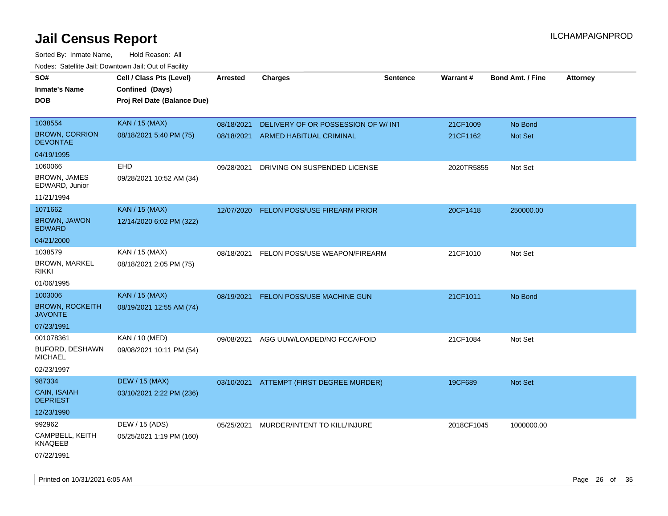| rouce. Calcinic Jan, Downtown Jan, Out or Facility |                             |                 |                                     |          |            |                         |                 |
|----------------------------------------------------|-----------------------------|-----------------|-------------------------------------|----------|------------|-------------------------|-----------------|
| SO#                                                | Cell / Class Pts (Level)    | <b>Arrested</b> | <b>Charges</b>                      | Sentence | Warrant#   | <b>Bond Amt. / Fine</b> | <b>Attorney</b> |
| <b>Inmate's Name</b>                               | Confined (Days)             |                 |                                     |          |            |                         |                 |
| DOB                                                | Proj Rel Date (Balance Due) |                 |                                     |          |            |                         |                 |
|                                                    |                             |                 |                                     |          |            |                         |                 |
| 1038554                                            | <b>KAN / 15 (MAX)</b>       | 08/18/2021      | DELIVERY OF OR POSSESSION OF W/INT  |          | 21CF1009   | No Bond                 |                 |
| <b>BROWN, CORRION</b><br><b>DEVONTAE</b>           | 08/18/2021 5:40 PM (75)     | 08/18/2021      | ARMED HABITUAL CRIMINAL             |          | 21CF1162   | Not Set                 |                 |
| 04/19/1995                                         |                             |                 |                                     |          |            |                         |                 |
| 1060066                                            | EHD                         | 09/28/2021      | DRIVING ON SUSPENDED LICENSE        |          | 2020TR5855 | Not Set                 |                 |
| <b>BROWN, JAMES</b><br>EDWARD, Junior              | 09/28/2021 10:52 AM (34)    |                 |                                     |          |            |                         |                 |
| 11/21/1994                                         |                             |                 |                                     |          |            |                         |                 |
| 1071662                                            | <b>KAN / 15 (MAX)</b>       | 12/07/2020      | <b>FELON POSS/USE FIREARM PRIOR</b> |          | 20CF1418   | 250000.00               |                 |
| <b>BROWN, JAWON</b><br><b>EDWARD</b>               | 12/14/2020 6:02 PM (322)    |                 |                                     |          |            |                         |                 |
| 04/21/2000                                         |                             |                 |                                     |          |            |                         |                 |
| 1038579                                            | KAN / 15 (MAX)              | 08/18/2021      | FELON POSS/USE WEAPON/FIREARM       |          | 21CF1010   | Not Set                 |                 |
| <b>BROWN, MARKEL</b><br>rikki                      | 08/18/2021 2:05 PM (75)     |                 |                                     |          |            |                         |                 |
| 01/06/1995                                         |                             |                 |                                     |          |            |                         |                 |
| 1003006                                            | <b>KAN / 15 (MAX)</b>       | 08/19/2021      | FELON POSS/USE MACHINE GUN          |          | 21CF1011   | No Bond                 |                 |
| <b>BROWN, ROCKEITH</b><br><b>JAVONTE</b>           | 08/19/2021 12:55 AM (74)    |                 |                                     |          |            |                         |                 |
| 07/23/1991                                         |                             |                 |                                     |          |            |                         |                 |
| 001078361                                          | KAN / 10 (MED)              | 09/08/2021      | AGG UUW/LOADED/NO FCCA/FOID         |          | 21CF1084   | Not Set                 |                 |
| BUFORD, DESHAWN<br><b>MICHAEL</b>                  | 09/08/2021 10:11 PM (54)    |                 |                                     |          |            |                         |                 |
| 02/23/1997                                         |                             |                 |                                     |          |            |                         |                 |
| 987334                                             | <b>DEW / 15 (MAX)</b>       | 03/10/2021      | ATTEMPT (FIRST DEGREE MURDER)       |          | 19CF689    | <b>Not Set</b>          |                 |
| CAIN, ISAIAH<br><b>DEPRIEST</b>                    | 03/10/2021 2:22 PM (236)    |                 |                                     |          |            |                         |                 |
| 12/23/1990                                         |                             |                 |                                     |          |            |                         |                 |
| 992962                                             | DEW / 15 (ADS)              | 05/25/2021      | MURDER/INTENT TO KILL/INJURE        |          | 2018CF1045 | 1000000.00              |                 |
| CAMPBELL, KEITH<br><b>KNAQEEB</b>                  | 05/25/2021 1:19 PM (160)    |                 |                                     |          |            |                         |                 |
| 07/22/1991                                         |                             |                 |                                     |          |            |                         |                 |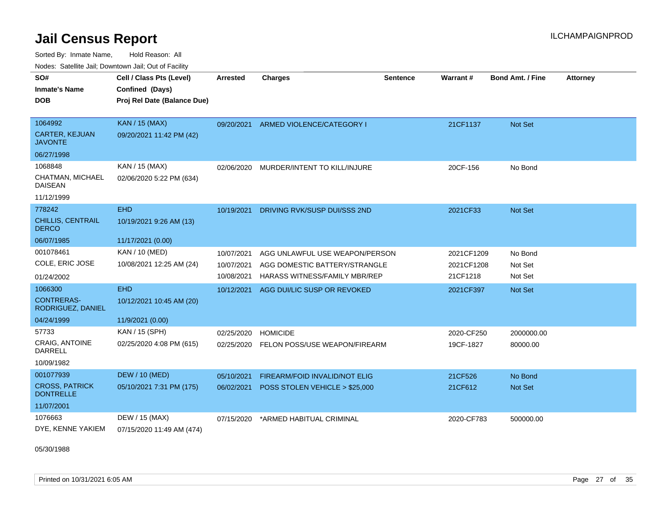Sorted By: Inmate Name, Hold Reason: All Nodes: Satellite Jail; Downtown Jail; Out of Facility

| SO#<br><b>Inmate's Name</b><br><b>DOB</b>                                 | Cell / Class Pts (Level)<br>Confined (Days)<br>Proj Rel Date (Balance Due) | <b>Arrested</b>                        | <b>Charges</b>                                                                                          | Sentence | <b>Warrant#</b>                      | <b>Bond Amt. / Fine</b>       | <b>Attorney</b> |
|---------------------------------------------------------------------------|----------------------------------------------------------------------------|----------------------------------------|---------------------------------------------------------------------------------------------------------|----------|--------------------------------------|-------------------------------|-----------------|
| 1064992<br><b>CARTER, KEJUAN</b><br><b>JAVONTE</b>                        | <b>KAN / 15 (MAX)</b><br>09/20/2021 11:42 PM (42)                          | 09/20/2021                             | ARMED VIOLENCE/CATEGORY I                                                                               |          | 21CF1137                             | Not Set                       |                 |
| 06/27/1998<br>1068848<br>CHATMAN, MICHAEL<br><b>DAISEAN</b><br>11/12/1999 | KAN / 15 (MAX)<br>02/06/2020 5:22 PM (634)                                 |                                        | 02/06/2020 MURDER/INTENT TO KILL/INJURE                                                                 |          | 20CF-156                             | No Bond                       |                 |
| 778242<br><b>CHILLIS, CENTRAIL</b><br><b>DERCO</b><br>06/07/1985          | <b>EHD</b><br>10/19/2021 9:26 AM (13)<br>11/17/2021 (0.00)                 | 10/19/2021                             | DRIVING RVK/SUSP DUI/SSS 2ND                                                                            |          | 2021CF33                             | Not Set                       |                 |
| 001078461<br>COLE, ERIC JOSE<br>01/24/2002                                | KAN / 10 (MED)<br>10/08/2021 12:25 AM (24)                                 | 10/07/2021<br>10/07/2021<br>10/08/2021 | AGG UNLAWFUL USE WEAPON/PERSON<br>AGG DOMESTIC BATTERY/STRANGLE<br><b>HARASS WITNESS/FAMILY MBR/REP</b> |          | 2021CF1209<br>2021CF1208<br>21CF1218 | No Bond<br>Not Set<br>Not Set |                 |
| 1066300<br><b>CONTRERAS-</b><br>RODRIGUEZ, DANIEL<br>04/24/1999           | <b>EHD</b><br>10/12/2021 10:45 AM (20)<br>11/9/2021 (0.00)                 | 10/12/2021                             | AGG DUI/LIC SUSP OR REVOKED                                                                             |          | 2021CF397                            | Not Set                       |                 |
| 57733<br>CRAIG, ANTOINE<br><b>DARRELL</b><br>10/09/1982                   | KAN / 15 (SPH)<br>02/25/2020 4:08 PM (615)                                 | 02/25/2020<br>02/25/2020               | <b>HOMICIDE</b><br>FELON POSS/USE WEAPON/FIREARM                                                        |          | 2020-CF250<br>19CF-1827              | 2000000.00<br>80000.00        |                 |
| 001077939<br><b>CROSS, PATRICK</b><br><b>DONTRELLE</b><br>11/07/2001      | <b>DEW / 10 (MED)</b><br>05/10/2021 7:31 PM (175)                          | 05/10/2021<br>06/02/2021               | FIREARM/FOID INVALID/NOT ELIG<br>POSS STOLEN VEHICLE > \$25,000                                         |          | 21CF526<br>21CF612                   | No Bond<br>Not Set            |                 |
| 1076663<br>DYE, KENNE YAKIEM                                              | DEW / 15 (MAX)<br>07/15/2020 11:49 AM (474)                                | 07/15/2020                             | *ARMED HABITUAL CRIMINAL                                                                                |          | 2020-CF783                           | 500000.00                     |                 |

05/30/1988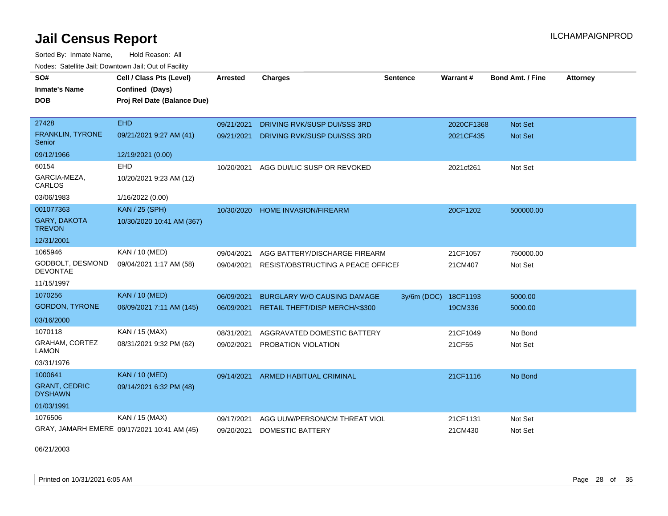Sorted By: Inmate Name, Hold Reason: All Nodes: Satellite Jail; Downtown Jail; Out of Facility

| SO#                                    | Cell / Class Pts (Level)                    | <b>Arrested</b> | <b>Charges</b>                     | <b>Sentence</b> | Warrant #  | <b>Bond Amt. / Fine</b> | <b>Attorney</b> |
|----------------------------------------|---------------------------------------------|-----------------|------------------------------------|-----------------|------------|-------------------------|-----------------|
| <b>Inmate's Name</b>                   | Confined (Days)                             |                 |                                    |                 |            |                         |                 |
| <b>DOB</b>                             | Proj Rel Date (Balance Due)                 |                 |                                    |                 |            |                         |                 |
|                                        |                                             |                 |                                    |                 |            |                         |                 |
| 27428                                  | <b>EHD</b>                                  | 09/21/2021      | DRIVING RVK/SUSP DUI/SSS 3RD       |                 | 2020CF1368 | <b>Not Set</b>          |                 |
| FRANKLIN, TYRONE<br>Senior             | 09/21/2021 9:27 AM (41)                     | 09/21/2021      | DRIVING RVK/SUSP DUI/SSS 3RD       |                 | 2021CF435  | <b>Not Set</b>          |                 |
| 09/12/1966                             | 12/19/2021 (0.00)                           |                 |                                    |                 |            |                         |                 |
| 60154                                  | <b>EHD</b>                                  | 10/20/2021      | AGG DUI/LIC SUSP OR REVOKED        |                 | 2021cf261  | Not Set                 |                 |
| GARCIA-MEZA,<br>CARLOS                 | 10/20/2021 9:23 AM (12)                     |                 |                                    |                 |            |                         |                 |
| 03/06/1983                             | 1/16/2022 (0.00)                            |                 |                                    |                 |            |                         |                 |
| 001077363                              | <b>KAN / 25 (SPH)</b>                       | 10/30/2020      | <b>HOME INVASION/FIREARM</b>       |                 | 20CF1202   | 500000.00               |                 |
| <b>GARY, DAKOTA</b><br><b>TREVON</b>   | 10/30/2020 10:41 AM (367)                   |                 |                                    |                 |            |                         |                 |
| 12/31/2001                             |                                             |                 |                                    |                 |            |                         |                 |
| 1065946                                | KAN / 10 (MED)                              | 09/04/2021      | AGG BATTERY/DISCHARGE FIREARM      |                 | 21CF1057   | 750000.00               |                 |
| GODBOLT, DESMOND<br><b>DEVONTAE</b>    | 09/04/2021 1:17 AM (58)                     | 09/04/2021      | RESIST/OBSTRUCTING A PEACE OFFICEI |                 | 21CM407    | Not Set                 |                 |
| 11/15/1997                             |                                             |                 |                                    |                 |            |                         |                 |
| 1070256                                | <b>KAN / 10 (MED)</b>                       | 06/09/2021      | <b>BURGLARY W/O CAUSING DAMAGE</b> | $3y/6m$ (DOC)   | 18CF1193   | 5000.00                 |                 |
| <b>GORDON, TYRONE</b>                  | 06/09/2021 7:11 AM (145)                    | 06/09/2021      | RETAIL THEFT/DISP MERCH/<\$300     |                 | 19CM336    | 5000.00                 |                 |
| 03/16/2000                             |                                             |                 |                                    |                 |            |                         |                 |
| 1070118                                | KAN / 15 (MAX)                              | 08/31/2021      | AGGRAVATED DOMESTIC BATTERY        |                 | 21CF1049   | No Bond                 |                 |
| GRAHAM, CORTEZ<br><b>LAMON</b>         | 08/31/2021 9:32 PM (62)                     | 09/02/2021      | PROBATION VIOLATION                |                 | 21CF55     | Not Set                 |                 |
| 03/31/1976                             |                                             |                 |                                    |                 |            |                         |                 |
| 1000641                                | <b>KAN / 10 (MED)</b>                       | 09/14/2021      | ARMED HABITUAL CRIMINAL            |                 | 21CF1116   | No Bond                 |                 |
| <b>GRANT, CEDRIC</b><br><b>DYSHAWN</b> | 09/14/2021 6:32 PM (48)                     |                 |                                    |                 |            |                         |                 |
| 01/03/1991                             |                                             |                 |                                    |                 |            |                         |                 |
| 1076506                                | KAN / 15 (MAX)                              | 09/17/2021      | AGG UUW/PERSON/CM THREAT VIOL      |                 | 21CF1131   | Not Set                 |                 |
|                                        | GRAY, JAMARH EMERE 09/17/2021 10:41 AM (45) | 09/20/2021      | <b>DOMESTIC BATTERY</b>            |                 | 21CM430    | Not Set                 |                 |

06/21/2003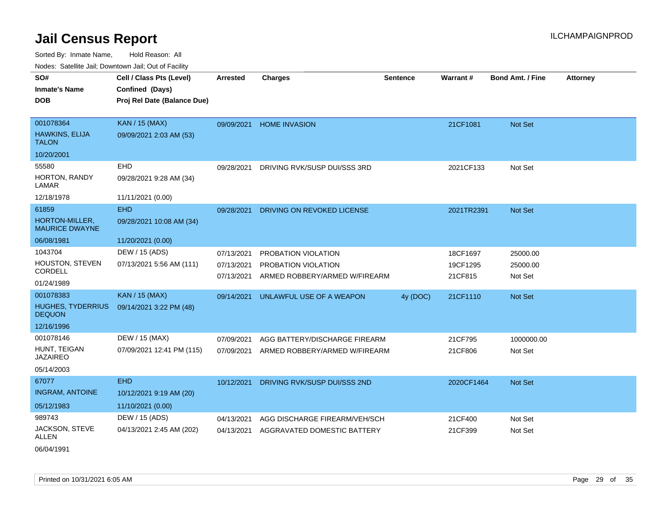| SO#                                       | Cell / Class Pts (Level)    | <b>Arrested</b> | <b>Charges</b>                | <b>Sentence</b> | Warrant#   | <b>Bond Amt. / Fine</b> | <b>Attorney</b> |
|-------------------------------------------|-----------------------------|-----------------|-------------------------------|-----------------|------------|-------------------------|-----------------|
| <b>Inmate's Name</b>                      | Confined (Days)             |                 |                               |                 |            |                         |                 |
| <b>DOB</b>                                | Proj Rel Date (Balance Due) |                 |                               |                 |            |                         |                 |
|                                           |                             |                 |                               |                 |            |                         |                 |
| 001078364                                 | <b>KAN / 15 (MAX)</b>       | 09/09/2021      | <b>HOME INVASION</b>          |                 | 21CF1081   | Not Set                 |                 |
| HAWKINS, ELIJA<br><b>TALON</b>            | 09/09/2021 2:03 AM (53)     |                 |                               |                 |            |                         |                 |
| 10/20/2001                                |                             |                 |                               |                 |            |                         |                 |
| 55580                                     | EHD                         | 09/28/2021      | DRIVING RVK/SUSP DUI/SSS 3RD  |                 | 2021CF133  | Not Set                 |                 |
| HORTON, RANDY<br>LAMAR                    | 09/28/2021 9:28 AM (34)     |                 |                               |                 |            |                         |                 |
| 12/18/1978                                | 11/11/2021 (0.00)           |                 |                               |                 |            |                         |                 |
| 61859                                     | <b>EHD</b>                  | 09/28/2021      | DRIVING ON REVOKED LICENSE    |                 | 2021TR2391 | Not Set                 |                 |
| HORTON-MILLER,<br><b>MAURICE DWAYNE</b>   | 09/28/2021 10:08 AM (34)    |                 |                               |                 |            |                         |                 |
| 06/08/1981                                | 11/20/2021 (0.00)           |                 |                               |                 |            |                         |                 |
| 1043704                                   | DEW / 15 (ADS)              | 07/13/2021      | PROBATION VIOLATION           |                 | 18CF1697   | 25000.00                |                 |
| HOUSTON, STEVEN                           | 07/13/2021 5:56 AM (111)    | 07/13/2021      | PROBATION VIOLATION           |                 | 19CF1295   | 25000.00                |                 |
| CORDELL                                   |                             | 07/13/2021      | ARMED ROBBERY/ARMED W/FIREARM |                 | 21CF815    | Not Set                 |                 |
| 01/24/1989                                |                             |                 |                               |                 |            |                         |                 |
| 001078383                                 | <b>KAN / 15 (MAX)</b>       | 09/14/2021      | UNLAWFUL USE OF A WEAPON      | 4y (DOC)        | 21CF1110   | Not Set                 |                 |
| <b>HUGHES, TYDERRIUS</b><br><b>DEQUON</b> | 09/14/2021 3:22 PM (48)     |                 |                               |                 |            |                         |                 |
| 12/16/1996                                |                             |                 |                               |                 |            |                         |                 |
| 001078146                                 | DEW / 15 (MAX)              | 07/09/2021      | AGG BATTERY/DISCHARGE FIREARM |                 | 21CF795    | 1000000.00              |                 |
| HUNT, TEIGAN<br><b>JAZAIREO</b>           | 07/09/2021 12:41 PM (115)   | 07/09/2021      | ARMED ROBBERY/ARMED W/FIREARM |                 | 21CF806    | Not Set                 |                 |
| 05/14/2003                                |                             |                 |                               |                 |            |                         |                 |
| 67077                                     | <b>EHD</b>                  | 10/12/2021      | DRIVING RVK/SUSP DUI/SSS 2ND  |                 | 2020CF1464 | Not Set                 |                 |
| <b>INGRAM, ANTOINE</b>                    | 10/12/2021 9:19 AM (20)     |                 |                               |                 |            |                         |                 |
| 05/12/1983                                | 11/10/2021 (0.00)           |                 |                               |                 |            |                         |                 |
| 989743                                    | DEW / 15 (ADS)              | 04/13/2021      | AGG DISCHARGE FIREARM/VEH/SCH |                 | 21CF400    | Not Set                 |                 |
| JACKSON, STEVE<br>ALLEN                   | 04/13/2021 2:45 AM (202)    | 04/13/2021      | AGGRAVATED DOMESTIC BATTERY   |                 | 21CF399    | Not Set                 |                 |
| 06/04/1991                                |                             |                 |                               |                 |            |                         |                 |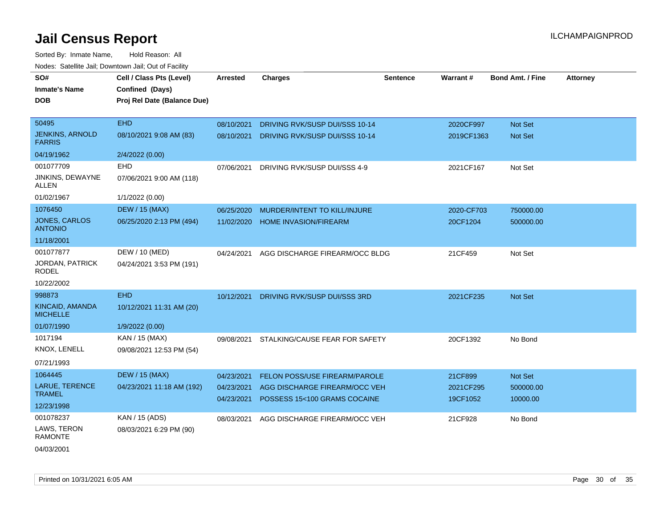| SO#                                     | Cell / Class Pts (Level)    | <b>Arrested</b> | <b>Charges</b>                   | <b>Sentence</b> | Warrant#   | <b>Bond Amt. / Fine</b> | <b>Attorney</b> |
|-----------------------------------------|-----------------------------|-----------------|----------------------------------|-----------------|------------|-------------------------|-----------------|
| <b>Inmate's Name</b>                    | Confined (Days)             |                 |                                  |                 |            |                         |                 |
| <b>DOB</b>                              | Proj Rel Date (Balance Due) |                 |                                  |                 |            |                         |                 |
|                                         |                             |                 |                                  |                 |            |                         |                 |
| 50495                                   | <b>EHD</b>                  | 08/10/2021      | DRIVING RVK/SUSP DUI/SSS 10-14   |                 | 2020CF997  | Not Set                 |                 |
| <b>JENKINS, ARNOLD</b><br><b>FARRIS</b> | 08/10/2021 9:08 AM (83)     | 08/10/2021      | DRIVING RVK/SUSP DUI/SSS 10-14   |                 | 2019CF1363 | Not Set                 |                 |
| 04/19/1962                              | 2/4/2022 (0.00)             |                 |                                  |                 |            |                         |                 |
| 001077709                               | EHD                         | 07/06/2021      | DRIVING RVK/SUSP DUI/SSS 4-9     |                 | 2021CF167  | Not Set                 |                 |
| JINKINS, DEWAYNE<br>ALLEN               | 07/06/2021 9:00 AM (118)    |                 |                                  |                 |            |                         |                 |
| 01/02/1967                              | 1/1/2022 (0.00)             |                 |                                  |                 |            |                         |                 |
| 1076450                                 | <b>DEW / 15 (MAX)</b>       | 06/25/2020      | MURDER/INTENT TO KILL/INJURE     |                 | 2020-CF703 | 750000.00               |                 |
| JONES, CARLOS<br><b>ANTONIO</b>         | 06/25/2020 2:13 PM (494)    |                 | 11/02/2020 HOME INVASION/FIREARM |                 | 20CF1204   | 500000.00               |                 |
| 11/18/2001                              |                             |                 |                                  |                 |            |                         |                 |
| 001077877                               | DEW / 10 (MED)              | 04/24/2021      | AGG DISCHARGE FIREARM/OCC BLDG   |                 | 21CF459    | Not Set                 |                 |
| <b>JORDAN, PATRICK</b><br><b>RODEL</b>  | 04/24/2021 3:53 PM (191)    |                 |                                  |                 |            |                         |                 |
| 10/22/2002                              |                             |                 |                                  |                 |            |                         |                 |
| 998873                                  | <b>EHD</b>                  | 10/12/2021      | DRIVING RVK/SUSP DUI/SSS 3RD     |                 | 2021CF235  | Not Set                 |                 |
| KINCAID, AMANDA<br><b>MICHELLE</b>      | 10/12/2021 11:31 AM (20)    |                 |                                  |                 |            |                         |                 |
| 01/07/1990                              | 1/9/2022 (0.00)             |                 |                                  |                 |            |                         |                 |
| 1017194                                 | KAN / 15 (MAX)              | 09/08/2021      | STALKING/CAUSE FEAR FOR SAFETY   |                 | 20CF1392   | No Bond                 |                 |
| <b>KNOX, LENELL</b>                     | 09/08/2021 12:53 PM (54)    |                 |                                  |                 |            |                         |                 |
| 07/21/1993                              |                             |                 |                                  |                 |            |                         |                 |
| 1064445                                 | <b>DEW / 15 (MAX)</b>       | 04/23/2021      | FELON POSS/USE FIREARM/PAROLE    |                 | 21CF899    | Not Set                 |                 |
| <b>LARUE, TERENCE</b><br><b>TRAMEL</b>  | 04/23/2021 11:18 AM (192)   | 04/23/2021      | AGG DISCHARGE FIREARM/OCC VEH    |                 | 2021CF295  | 500000.00               |                 |
| 12/23/1998                              |                             | 04/23/2021      | POSSESS 15<100 GRAMS COCAINE     |                 | 19CF1052   | 10000.00                |                 |
| 001078237                               | KAN / 15 (ADS)              | 08/03/2021      | AGG DISCHARGE FIREARM/OCC VEH    |                 | 21CF928    | No Bond                 |                 |
| LAWS, TERON<br><b>RAMONTE</b>           | 08/03/2021 6:29 PM (90)     |                 |                                  |                 |            |                         |                 |
| 04/03/2001                              |                             |                 |                                  |                 |            |                         |                 |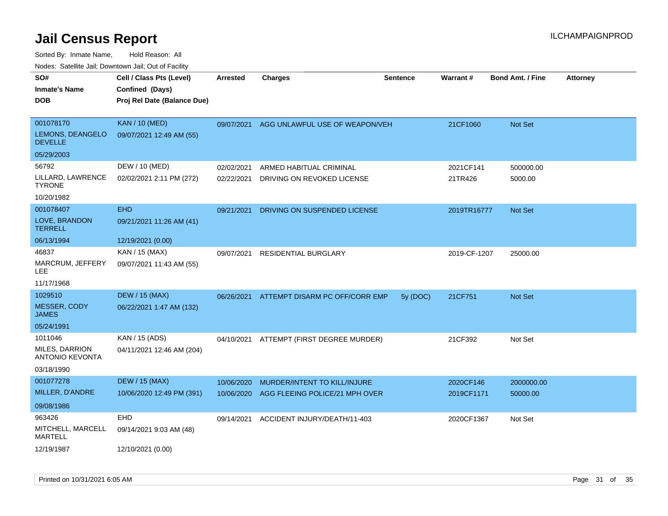| SO#                                      | Cell / Class Pts (Level)    | <b>Arrested</b> | <b>Charges</b>                           | <b>Sentence</b> | <b>Warrant#</b> | <b>Bond Amt. / Fine</b> | <b>Attorney</b> |
|------------------------------------------|-----------------------------|-----------------|------------------------------------------|-----------------|-----------------|-------------------------|-----------------|
| <b>Inmate's Name</b>                     | Confined (Days)             |                 |                                          |                 |                 |                         |                 |
| <b>DOB</b>                               | Proj Rel Date (Balance Due) |                 |                                          |                 |                 |                         |                 |
|                                          |                             |                 |                                          |                 |                 |                         |                 |
| 001078170                                | <b>KAN / 10 (MED)</b>       | 09/07/2021      | AGG UNLAWFUL USE OF WEAPON/VEH           |                 | 21CF1060        | Not Set                 |                 |
| LEMONS, DEANGELO<br><b>DEVELLE</b>       | 09/07/2021 12:49 AM (55)    |                 |                                          |                 |                 |                         |                 |
| 05/29/2003                               |                             |                 |                                          |                 |                 |                         |                 |
| 56792                                    | DEW / 10 (MED)              | 02/02/2021      | ARMED HABITUAL CRIMINAL                  |                 | 2021CF141       | 500000.00               |                 |
| LILLARD, LAWRENCE<br><b>TYRONE</b>       | 02/02/2021 2:11 PM (272)    | 02/22/2021      | DRIVING ON REVOKED LICENSE               |                 | 21TR426         | 5000.00                 |                 |
| 10/20/1982                               |                             |                 |                                          |                 |                 |                         |                 |
| 001078407                                | <b>EHD</b>                  | 09/21/2021      | DRIVING ON SUSPENDED LICENSE             |                 | 2019TR16777     | <b>Not Set</b>          |                 |
| LOVE, BRANDON<br><b>TERRELL</b>          | 09/21/2021 11:26 AM (41)    |                 |                                          |                 |                 |                         |                 |
| 06/13/1994                               | 12/19/2021 (0.00)           |                 |                                          |                 |                 |                         |                 |
| 46837                                    | KAN / 15 (MAX)              | 09/07/2021      | <b>RESIDENTIAL BURGLARY</b>              |                 | 2019-CF-1207    | 25000.00                |                 |
| MARCRUM, JEFFERY<br><b>LEE</b>           | 09/07/2021 11:43 AM (55)    |                 |                                          |                 |                 |                         |                 |
| 11/17/1968                               |                             |                 |                                          |                 |                 |                         |                 |
| 1029510                                  | <b>DEW / 15 (MAX)</b>       | 06/26/2021      | ATTEMPT DISARM PC OFF/CORR EMP           | 5y (DOC)        | 21CF751         | <b>Not Set</b>          |                 |
| MESSER, CODY<br><b>JAMES</b>             | 06/22/2021 1:47 AM (132)    |                 |                                          |                 |                 |                         |                 |
| 05/24/1991                               |                             |                 |                                          |                 |                 |                         |                 |
| 1011046                                  | KAN / 15 (ADS)              |                 | 04/10/2021 ATTEMPT (FIRST DEGREE MURDER) |                 | 21CF392         | Not Set                 |                 |
| MILES, DARRION<br><b>ANTONIO KEVONTA</b> | 04/11/2021 12:46 AM (204)   |                 |                                          |                 |                 |                         |                 |
| 03/18/1990                               |                             |                 |                                          |                 |                 |                         |                 |
| 001077278                                | <b>DEW / 15 (MAX)</b>       | 10/06/2020      | MURDER/INTENT TO KILL/INJURE             |                 | 2020CF146       | 2000000.00              |                 |
| MILLER, D'ANDRE                          | 10/06/2020 12:49 PM (391)   | 10/06/2020      | AGG FLEEING POLICE/21 MPH OVER           |                 | 2019CF1171      | 50000.00                |                 |
| 09/08/1986                               |                             |                 |                                          |                 |                 |                         |                 |
| 963426                                   | <b>EHD</b>                  | 09/14/2021      | ACCIDENT INJURY/DEATH/11-403             |                 | 2020CF1367      | Not Set                 |                 |
| MITCHELL, MARCELL<br><b>MARTELL</b>      | 09/14/2021 9:03 AM (48)     |                 |                                          |                 |                 |                         |                 |
| 12/19/1987                               | 12/10/2021 (0.00)           |                 |                                          |                 |                 |                         |                 |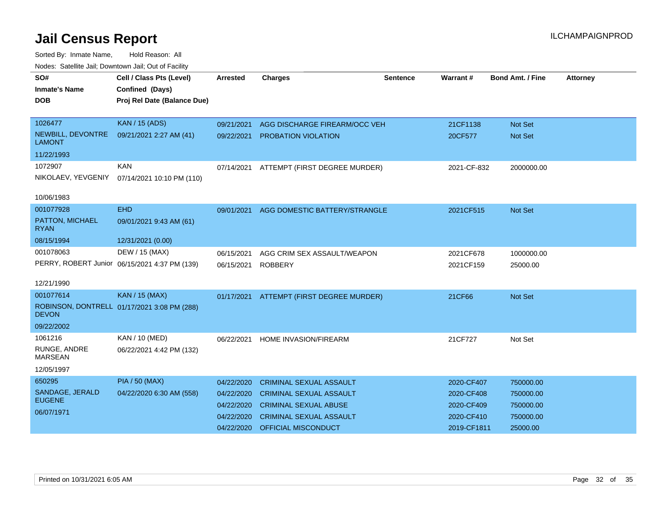| SO#<br><b>Inmate's Name</b><br><b>DOB</b> | Cell / Class Pts (Level)<br>Confined (Days)<br>Proj Rel Date (Balance Due) | <b>Arrested</b> | <b>Charges</b>                 | <b>Sentence</b> | Warrant#    | <b>Bond Amt. / Fine</b> | <b>Attorney</b> |
|-------------------------------------------|----------------------------------------------------------------------------|-----------------|--------------------------------|-----------------|-------------|-------------------------|-----------------|
|                                           |                                                                            |                 |                                |                 |             |                         |                 |
| 1026477                                   | KAN / 15 (ADS)                                                             | 09/21/2021      | AGG DISCHARGE FIREARM/OCC VEH  |                 | 21CF1138    | Not Set                 |                 |
| NEWBILL, DEVONTRE<br><b>LAMONT</b>        | 09/21/2021 2:27 AM (41)                                                    | 09/22/2021      | <b>PROBATION VIOLATION</b>     |                 | 20CF577     | Not Set                 |                 |
| 11/22/1993                                |                                                                            |                 |                                |                 |             |                         |                 |
| 1072907                                   | <b>KAN</b>                                                                 | 07/14/2021      | ATTEMPT (FIRST DEGREE MURDER)  |                 | 2021-CF-832 | 2000000.00              |                 |
| NIKOLAEV, YEVGENIY                        | 07/14/2021 10:10 PM (110)                                                  |                 |                                |                 |             |                         |                 |
| 10/06/1983                                |                                                                            |                 |                                |                 |             |                         |                 |
| 001077928                                 | <b>EHD</b>                                                                 | 09/01/2021      | AGG DOMESTIC BATTERY/STRANGLE  |                 | 2021CF515   | Not Set                 |                 |
| PATTON, MICHAEL<br><b>RYAN</b>            | 09/01/2021 9:43 AM (61)                                                    |                 |                                |                 |             |                         |                 |
| 08/15/1994                                | 12/31/2021 (0.00)                                                          |                 |                                |                 |             |                         |                 |
| 001078063                                 | DEW / 15 (MAX)                                                             | 06/15/2021      | AGG CRIM SEX ASSAULT/WEAPON    |                 | 2021CF678   | 1000000.00              |                 |
|                                           | PERRY, ROBERT Junior 06/15/2021 4:37 PM (139)                              | 06/15/2021      | <b>ROBBERY</b>                 |                 | 2021CF159   | 25000.00                |                 |
| 12/21/1990                                |                                                                            |                 |                                |                 |             |                         |                 |
| 001077614                                 | <b>KAN / 15 (MAX)</b>                                                      | 01/17/2021      | ATTEMPT (FIRST DEGREE MURDER)  |                 | 21CF66      | Not Set                 |                 |
| <b>DEVON</b>                              | ROBINSON, DONTRELL 01/17/2021 3:08 PM (288)                                |                 |                                |                 |             |                         |                 |
| 09/22/2002                                |                                                                            |                 |                                |                 |             |                         |                 |
| 1061216                                   | KAN / 10 (MED)                                                             | 06/22/2021      | <b>HOME INVASION/FIREARM</b>   |                 | 21CF727     | Not Set                 |                 |
| RUNGE, ANDRE<br><b>MARSEAN</b>            | 06/22/2021 4:42 PM (132)                                                   |                 |                                |                 |             |                         |                 |
| 12/05/1997                                |                                                                            |                 |                                |                 |             |                         |                 |
| 650295                                    | <b>PIA / 50 (MAX)</b>                                                      | 04/22/2020      | <b>CRIMINAL SEXUAL ASSAULT</b> |                 | 2020-CF407  | 750000.00               |                 |
| SANDAGE, JERALD                           | 04/22/2020 6:30 AM (558)                                                   | 04/22/2020      | <b>CRIMINAL SEXUAL ASSAULT</b> |                 | 2020-CF408  | 750000.00               |                 |
| <b>EUGENE</b>                             |                                                                            | 04/22/2020      | <b>CRIMINAL SEXUAL ABUSE</b>   |                 | 2020-CF409  | 750000.00               |                 |
| 06/07/1971                                |                                                                            | 04/22/2020      | <b>CRIMINAL SEXUAL ASSAULT</b> |                 | 2020-CF410  | 750000.00               |                 |
|                                           |                                                                            | 04/22/2020      | <b>OFFICIAL MISCONDUCT</b>     |                 | 2019-CF1811 | 25000.00                |                 |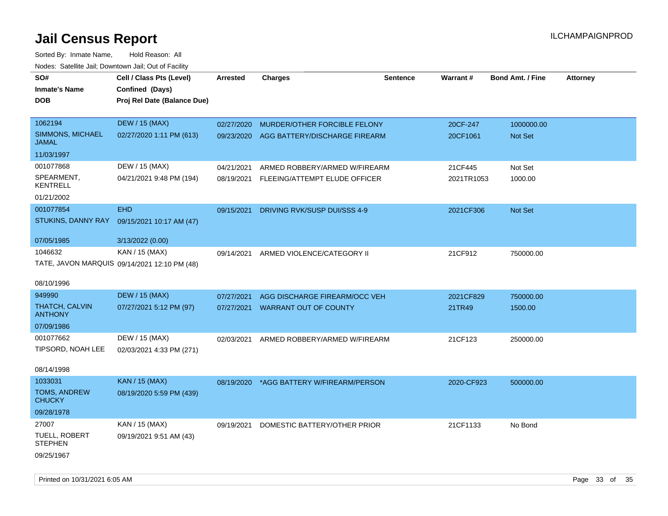| SO#                                     | Cell / Class Pts (Level)                     | Arrested   | <b>Charges</b>                           | <b>Sentence</b> | Warrant#   | <b>Bond Amt. / Fine</b> | <b>Attorney</b> |
|-----------------------------------------|----------------------------------------------|------------|------------------------------------------|-----------------|------------|-------------------------|-----------------|
| <b>Inmate's Name</b>                    | Confined (Days)                              |            |                                          |                 |            |                         |                 |
| DOB                                     | Proj Rel Date (Balance Due)                  |            |                                          |                 |            |                         |                 |
|                                         |                                              |            |                                          |                 |            |                         |                 |
| 1062194                                 | <b>DEW / 15 (MAX)</b>                        | 02/27/2020 | MURDER/OTHER FORCIBLE FELONY             |                 | 20CF-247   | 1000000.00              |                 |
| SIMMONS, MICHAEL<br><b>JAMAL</b>        | 02/27/2020 1:11 PM (613)                     | 09/23/2020 | AGG BATTERY/DISCHARGE FIREARM            |                 | 20CF1061   | Not Set                 |                 |
| 11/03/1997                              |                                              |            |                                          |                 |            |                         |                 |
| 001077868                               | DEW / 15 (MAX)                               | 04/21/2021 | ARMED ROBBERY/ARMED W/FIREARM            |                 | 21CF445    | Not Set                 |                 |
| SPEARMENT,<br><b>KENTRELL</b>           | 04/21/2021 9:48 PM (194)                     |            | 08/19/2021 FLEEING/ATTEMPT ELUDE OFFICER |                 | 2021TR1053 | 1000.00                 |                 |
| 01/21/2002                              |                                              |            |                                          |                 |            |                         |                 |
| 001077854                               | <b>EHD</b>                                   | 09/15/2021 | DRIVING RVK/SUSP DUI/SSS 4-9             |                 | 2021CF306  | Not Set                 |                 |
| STUKINS, DANNY RAY                      | 09/15/2021 10:17 AM (47)                     |            |                                          |                 |            |                         |                 |
|                                         |                                              |            |                                          |                 |            |                         |                 |
| 07/05/1985                              | 3/13/2022 (0.00)                             |            |                                          |                 |            |                         |                 |
| 1046632                                 | KAN / 15 (MAX)                               | 09/14/2021 | ARMED VIOLENCE/CATEGORY II               |                 | 21CF912    | 750000.00               |                 |
|                                         | TATE, JAVON MARQUIS 09/14/2021 12:10 PM (48) |            |                                          |                 |            |                         |                 |
| 08/10/1996                              |                                              |            |                                          |                 |            |                         |                 |
| 949990                                  | <b>DEW / 15 (MAX)</b>                        | 07/27/2021 | AGG DISCHARGE FIREARM/OCC VEH            |                 | 2021CF829  | 750000.00               |                 |
| <b>THATCH, CALVIN</b><br><b>ANTHONY</b> | 07/27/2021 5:12 PM (97)                      | 07/27/2021 | <b>WARRANT OUT OF COUNTY</b>             |                 | 21TR49     | 1500.00                 |                 |
| 07/09/1986                              |                                              |            |                                          |                 |            |                         |                 |
| 001077662                               | DEW / 15 (MAX)                               | 02/03/2021 | ARMED ROBBERY/ARMED W/FIREARM            |                 | 21CF123    | 250000.00               |                 |
| TIPSORD, NOAH LEE                       | 02/03/2021 4:33 PM (271)                     |            |                                          |                 |            |                         |                 |
|                                         |                                              |            |                                          |                 |            |                         |                 |
| 08/14/1998                              |                                              |            |                                          |                 |            |                         |                 |
| 1033031                                 | <b>KAN / 15 (MAX)</b>                        | 08/19/2020 | *AGG BATTERY W/FIREARM/PERSON            |                 | 2020-CF923 | 500000.00               |                 |
| TOMS, ANDREW<br><b>CHUCKY</b>           | 08/19/2020 5:59 PM (439)                     |            |                                          |                 |            |                         |                 |
| 09/28/1978                              |                                              |            |                                          |                 |            |                         |                 |
| 27007                                   | KAN / 15 (MAX)                               | 09/19/2021 | DOMESTIC BATTERY/OTHER PRIOR             |                 | 21CF1133   | No Bond                 |                 |
| <b>TUELL, ROBERT</b><br><b>STEPHEN</b>  | 09/19/2021 9:51 AM (43)                      |            |                                          |                 |            |                         |                 |
| 09/25/1967                              |                                              |            |                                          |                 |            |                         |                 |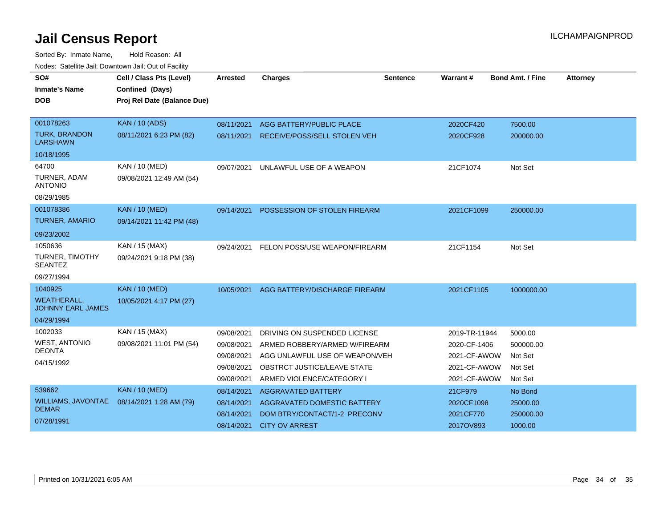| SO#<br><b>Inmate's Name</b><br><b>DOB</b>      | Cell / Class Pts (Level)<br>Confined (Days)<br>Proj Rel Date (Balance Due) | <b>Arrested</b> | <b>Charges</b>                      | <b>Sentence</b> | Warrant#      | <b>Bond Amt. / Fine</b> | <b>Attorney</b> |
|------------------------------------------------|----------------------------------------------------------------------------|-----------------|-------------------------------------|-----------------|---------------|-------------------------|-----------------|
|                                                |                                                                            |                 |                                     |                 |               |                         |                 |
| 001078263                                      | <b>KAN / 10 (ADS)</b>                                                      | 08/11/2021      | AGG BATTERY/PUBLIC PLACE            |                 | 2020CF420     | 7500.00                 |                 |
| <b>TURK, BRANDON</b><br><b>LARSHAWN</b>        | 08/11/2021 6:23 PM (82)                                                    | 08/11/2021      | <b>RECEIVE/POSS/SELL STOLEN VEH</b> |                 | 2020CF928     | 200000.00               |                 |
| 10/18/1995                                     |                                                                            |                 |                                     |                 |               |                         |                 |
| 64700                                          | <b>KAN / 10 (MED)</b>                                                      | 09/07/2021      | UNLAWFUL USE OF A WEAPON            |                 | 21CF1074      | Not Set                 |                 |
| TURNER, ADAM<br><b>ANTONIO</b>                 | 09/08/2021 12:49 AM (54)                                                   |                 |                                     |                 |               |                         |                 |
| 08/29/1985                                     |                                                                            |                 |                                     |                 |               |                         |                 |
| 001078386                                      | <b>KAN / 10 (MED)</b>                                                      | 09/14/2021      | POSSESSION OF STOLEN FIREARM        |                 | 2021CF1099    | 250000.00               |                 |
| <b>TURNER, AMARIO</b>                          | 09/14/2021 11:42 PM (48)                                                   |                 |                                     |                 |               |                         |                 |
| 09/23/2002                                     |                                                                            |                 |                                     |                 |               |                         |                 |
| 1050636                                        | KAN / 15 (MAX)                                                             | 09/24/2021      | FELON POSS/USE WEAPON/FIREARM       |                 | 21CF1154      | Not Set                 |                 |
| <b>TURNER, TIMOTHY</b><br><b>SEANTEZ</b>       | 09/24/2021 9:18 PM (38)                                                    |                 |                                     |                 |               |                         |                 |
| 09/27/1994                                     |                                                                            |                 |                                     |                 |               |                         |                 |
| 1040925                                        | <b>KAN / 10 (MED)</b>                                                      | 10/05/2021      | AGG BATTERY/DISCHARGE FIREARM       |                 | 2021CF1105    | 1000000.00              |                 |
| <b>WEATHERALL,</b><br><b>JOHNNY EARL JAMES</b> | 10/05/2021 4:17 PM (27)                                                    |                 |                                     |                 |               |                         |                 |
| 04/29/1994                                     |                                                                            |                 |                                     |                 |               |                         |                 |
| 1002033                                        | <b>KAN / 15 (MAX)</b>                                                      | 09/08/2021      | DRIVING ON SUSPENDED LICENSE        |                 | 2019-TR-11944 | 5000.00                 |                 |
| <b>WEST, ANTONIO</b>                           | 09/08/2021 11:01 PM (54)                                                   | 09/08/2021      | ARMED ROBBERY/ARMED W/FIREARM       |                 | 2020-CF-1406  | 500000.00               |                 |
| <b>DEONTA</b>                                  |                                                                            | 09/08/2021      | AGG UNLAWFUL USE OF WEAPON/VEH      |                 | 2021-CF-AWOW  | Not Set                 |                 |
| 04/15/1992                                     |                                                                            | 09/08/2021      | OBSTRCT JUSTICE/LEAVE STATE         |                 | 2021-CF-AWOW  | Not Set                 |                 |
|                                                |                                                                            | 09/08/2021      | ARMED VIOLENCE/CATEGORY I           |                 | 2021-CF-AWOW  | Not Set                 |                 |
| 539662                                         | <b>KAN / 10 (MED)</b>                                                      | 08/14/2021      | AGGRAVATED BATTERY                  |                 | 21CF979       | No Bond                 |                 |
| <b>WILLIAMS, JAVONTAE</b>                      | 08/14/2021 1:28 AM (79)                                                    | 08/14/2021      | <b>AGGRAVATED DOMESTIC BATTERY</b>  |                 | 2020CF1098    | 25000.00                |                 |
| <b>DEMAR</b>                                   |                                                                            | 08/14/2021      | DOM BTRY/CONTACT/1-2 PRECONV        |                 | 2021CF770     | 250000.00               |                 |
| 07/28/1991                                     |                                                                            | 08/14/2021      | <b>CITY OV ARREST</b>               |                 | 2017OV893     | 1000.00                 |                 |